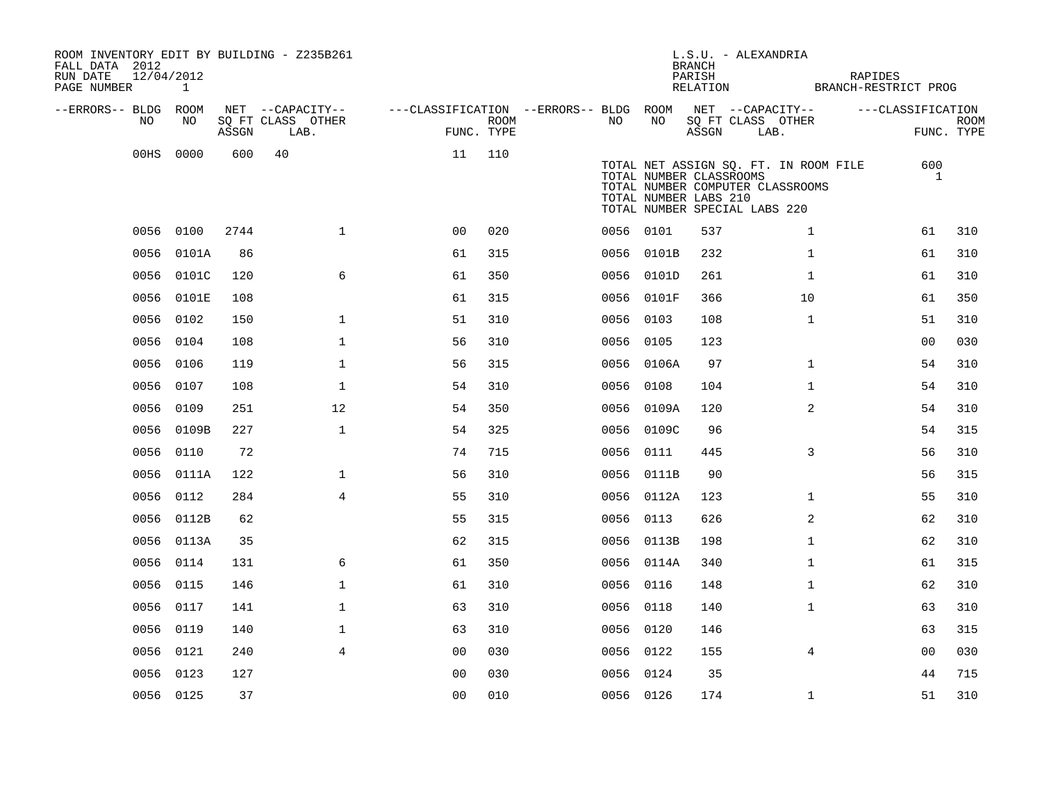| ROOM INVENTORY EDIT BY BUILDING - Z235B261<br>FALL DATA 2012<br>RUN DATE<br>PAGE NUMBER | 12/04/2012<br>$\mathbf{1}$ |       |                                       |                                                         |            |           |                                                  | <b>BRANCH</b><br>PARISH<br>RELATION | L.S.U. - ALEXANDRIA                                                                                        |              | RAPIDES<br>BRANCH-RESTRICT PROG |             |
|-----------------------------------------------------------------------------------------|----------------------------|-------|---------------------------------------|---------------------------------------------------------|------------|-----------|--------------------------------------------------|-------------------------------------|------------------------------------------------------------------------------------------------------------|--------------|---------------------------------|-------------|
|                                                                                         |                            |       |                                       |                                                         |            |           |                                                  |                                     |                                                                                                            |              |                                 |             |
| --ERRORS-- BLDG ROOM<br>NO.                                                             | NO.                        |       | NET --CAPACITY--<br>SQ FT CLASS OTHER | ---CLASSIFICATION --ERRORS-- BLDG ROOM NET --CAPACITY-- | ROOM       | NO.       | NO                                               |                                     | SQ FT CLASS OTHER                                                                                          |              | ---CLASSIFICATION               | <b>ROOM</b> |
|                                                                                         |                            | ASSGN | LAB.                                  |                                                         | FUNC. TYPE |           |                                                  | ASSGN                               | LAB.                                                                                                       |              |                                 | FUNC. TYPE  |
|                                                                                         | 00HS 0000                  | 600   | 40                                    | 11                                                      | 110        |           | TOTAL NUMBER CLASSROOMS<br>TOTAL NUMBER LABS 210 |                                     | TOTAL NET ASSIGN SQ. FT. IN ROOM FILE<br>TOTAL NUMBER COMPUTER CLASSROOMS<br>TOTAL NUMBER SPECIAL LABS 220 |              | 600<br>1                        |             |
|                                                                                         | 0056 0100                  | 2744  | $\mathbf 1$                           | 0 <sub>0</sub>                                          | 020        | 0056 0101 |                                                  | 537                                 |                                                                                                            | $\mathbf{1}$ | 61                              | 310         |
|                                                                                         | 0056 0101A                 | 86    |                                       | 61                                                      | 315        |           | 0056 0101B                                       | 232                                 |                                                                                                            | $\mathbf{1}$ | 61                              | 310         |
|                                                                                         | 0056 0101C                 | 120   | 6                                     | 61                                                      | 350        |           | 0056 0101D                                       | 261                                 |                                                                                                            | $\mathbf{1}$ | 61                              | 310         |
|                                                                                         | 0056 0101E                 | 108   |                                       | 61                                                      | 315        |           | 0056 0101F                                       | 366                                 | 10                                                                                                         |              | 61                              | 350         |
|                                                                                         | 0056 0102                  | 150   | $\mathbf 1$                           | 51                                                      | 310        |           | 0056 0103                                        | 108                                 |                                                                                                            | $\mathbf{1}$ | 51                              | 310         |
|                                                                                         | 0056 0104                  | 108   | $\mathbf{1}$                          | 56                                                      | 310        | 0056 0105 |                                                  | 123                                 |                                                                                                            |              | 0 <sub>0</sub>                  | 030         |
|                                                                                         | 0056 0106                  | 119   | $\mathbf 1$                           | 56                                                      | 315        |           | 0056 0106A                                       | 97                                  |                                                                                                            | $\mathbf{1}$ | 54                              | 310         |
|                                                                                         | 0056 0107                  | 108   | $\mathbf{1}$                          | 54                                                      | 310        | 0056 0108 |                                                  | 104                                 |                                                                                                            | $\mathbf{1}$ | 54                              | 310         |
|                                                                                         | 0056 0109                  | 251   | 12                                    | 54                                                      | 350        |           | 0056 0109A                                       | 120                                 |                                                                                                            | 2            | 54                              | 310         |
|                                                                                         | 0056 0109B                 | 227   | $\mathbf{1}$                          | 54                                                      | 325        |           | 0056 0109C                                       | 96                                  |                                                                                                            |              | 54                              | 315         |
|                                                                                         | 0056 0110                  | 72    |                                       | 74                                                      | 715        | 0056 0111 |                                                  | 445                                 |                                                                                                            | 3            | 56                              | 310         |
|                                                                                         | 0056 0111A                 | 122   | $\mathbf{1}$                          | 56                                                      | 310        |           | 0056 0111B                                       | 90                                  |                                                                                                            |              | 56                              | 315         |
|                                                                                         | 0056 0112                  | 284   | $\overline{4}$                        | 55                                                      | 310        |           | 0056 0112A                                       | 123                                 |                                                                                                            | $\mathbf{1}$ | 55                              | 310         |
|                                                                                         | 0056 0112B                 | 62    |                                       | 55                                                      | 315        | 0056 0113 |                                                  | 626                                 |                                                                                                            | 2            | 62                              | 310         |
|                                                                                         | 0056 0113A                 | 35    |                                       | 62                                                      | 315        |           | 0056 0113B                                       | 198                                 |                                                                                                            | $\mathbf{1}$ | 62                              | 310         |
|                                                                                         | 0056 0114                  | 131   | 6                                     | 61                                                      | 350        |           | 0056 0114A                                       | 340                                 |                                                                                                            | $\mathbf{1}$ | 61                              | 315         |
|                                                                                         | 0056 0115                  | 146   | $\mathbf 1$                           | 61                                                      | 310        | 0056 0116 |                                                  | 148                                 |                                                                                                            | $\mathbf{1}$ | 62                              | 310         |
|                                                                                         | 0056 0117                  | 141   | $\mathbf 1$                           | 63                                                      | 310        | 0056 0118 |                                                  | 140                                 |                                                                                                            | $\mathbf{1}$ | 63                              | 310         |
|                                                                                         | 0056 0119                  | 140   | 1                                     | 63                                                      | 310        | 0056 0120 |                                                  | 146                                 |                                                                                                            |              | 63                              | 315         |
|                                                                                         | 0056 0121                  | 240   | $\overline{4}$                        | 00                                                      | 030        | 0056 0122 |                                                  | 155                                 |                                                                                                            | 4            | 00                              | 030         |
|                                                                                         | 0056 0123                  | 127   |                                       | 0 <sub>0</sub>                                          | 030        | 0056 0124 |                                                  | 35                                  |                                                                                                            |              | 44                              | 715         |
|                                                                                         | 0056 0125                  | 37    |                                       | 0 <sub>0</sub>                                          | 010        | 0056 0126 |                                                  | 174                                 |                                                                                                            | $\mathbf{1}$ | 51                              | 310         |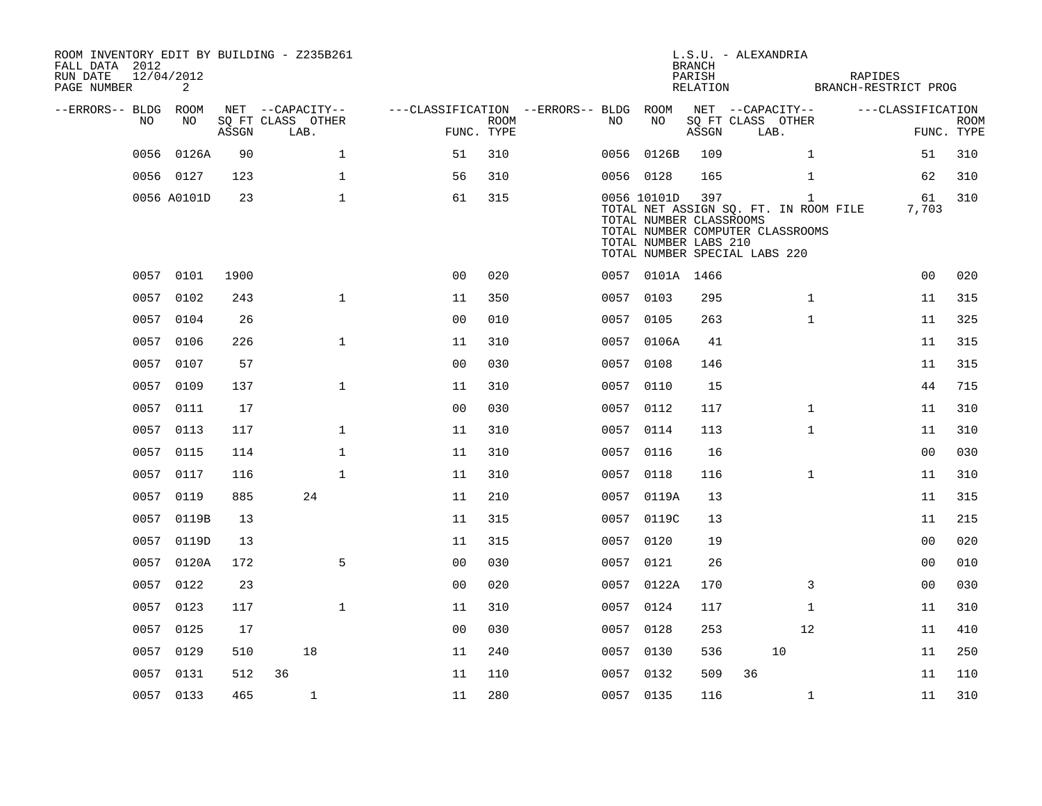| ROOM INVENTORY EDIT BY BUILDING - Z235B261<br>FALL DATA 2012<br>RUN DATE<br>PAGE NUMBER | 12/04/2012<br>2 |       |                                               |                                        |                           |    |                                                                 | <b>BRANCH</b><br>PARISH<br>RELATION | L.S.U. - ALEXANDRIA<br>BRANCH-RESTRICT PROG                                                                                | <b>RAPIDES</b>                  |             |
|-----------------------------------------------------------------------------------------|-----------------|-------|-----------------------------------------------|----------------------------------------|---------------------------|----|-----------------------------------------------------------------|-------------------------------------|----------------------------------------------------------------------------------------------------------------------------|---------------------------------|-------------|
| --ERRORS-- BLDG ROOM<br>NO.                                                             | NO.             | ASSGN | NET --CAPACITY--<br>SQ FT CLASS OTHER<br>LAB. | ---CLASSIFICATION --ERRORS-- BLDG ROOM | <b>ROOM</b><br>FUNC. TYPE | NO | NO                                                              | ASSGN                               | NET --CAPACITY--<br>SQ FT CLASS OTHER<br>LAB.                                                                              | ---CLASSIFICATION<br>FUNC. TYPE | <b>ROOM</b> |
|                                                                                         | 0056 0126A      | 90    | $\mathbf{1}$                                  | 51                                     | 310                       |    | 0056 0126B                                                      | 109                                 | $\mathbf{1}$                                                                                                               | 51                              | 310         |
|                                                                                         | 0056 0127       | 123   | $\mathbf 1$                                   | 56                                     | 310                       |    | 0056 0128                                                       | 165                                 | $\mathbf{1}$                                                                                                               | 62                              | 310         |
|                                                                                         | 0056 A0101D     | 23    | $\mathbf{1}$                                  | 61                                     | 315                       |    | 0056 10101D<br>TOTAL NUMBER CLASSROOMS<br>TOTAL NUMBER LABS 210 | 397                                 | $\mathbf{1}$<br>TOTAL NET ASSIGN SQ. FT. IN ROOM FILE<br>TOTAL NUMBER COMPUTER CLASSROOMS<br>TOTAL NUMBER SPECIAL LABS 220 | 61<br>7,703                     | 310         |
|                                                                                         | 0057 0101       | 1900  |                                               | 0 <sub>0</sub>                         | 020                       |    | 0057 0101A 1466                                                 |                                     |                                                                                                                            | 00                              | 020         |
|                                                                                         | 0057 0102       | 243   | $\mathbf{1}$                                  | 11                                     | 350                       |    | 0057 0103                                                       | 295                                 | $\mathbf{1}$                                                                                                               | 11                              | 315         |
|                                                                                         | 0057 0104       | 26    |                                               | 0 <sub>0</sub>                         | 010                       |    | 0057 0105                                                       | 263                                 | $\mathbf{1}$                                                                                                               | 11                              | 325         |
|                                                                                         | 0057 0106       | 226   | $\mathbf{1}$                                  | 11                                     | 310                       |    | 0057 0106A                                                      | 41                                  |                                                                                                                            | 11                              | 315         |
|                                                                                         | 0057 0107       | 57    |                                               | 0 <sub>0</sub>                         | 030                       |    | 0057 0108                                                       | 146                                 |                                                                                                                            | 11                              | 315         |
|                                                                                         | 0057 0109       | 137   | $\mathbf{1}$                                  | 11                                     | 310                       |    | 0057 0110                                                       | 15                                  |                                                                                                                            | 44                              | 715         |
|                                                                                         | 0057 0111       | 17    |                                               | 0 <sub>0</sub>                         | 030                       |    | 0057 0112                                                       | 117                                 | $\mathbf{1}$                                                                                                               | 11                              | 310         |
|                                                                                         | 0057 0113       | 117   | $\mathbf{1}$                                  | 11                                     | 310                       |    | 0057 0114                                                       | 113                                 | $\mathbf{1}$                                                                                                               | 11                              | 310         |
|                                                                                         | 0057 0115       | 114   | $\mathbf 1$                                   | 11                                     | 310                       |    | 0057 0116                                                       | 16                                  |                                                                                                                            | 0 <sub>0</sub>                  | 030         |
|                                                                                         | 0057 0117       | 116   | $\mathbf{1}$                                  | 11                                     | 310                       |    | 0057 0118                                                       | 116                                 | $\mathbf{1}$                                                                                                               | 11                              | 310         |
|                                                                                         | 0057 0119       | 885   | 24                                            | 11                                     | 210                       |    | 0057 0119A                                                      | 13                                  |                                                                                                                            | 11                              | 315         |
| 0057                                                                                    | 0119B           | 13    |                                               | 11                                     | 315                       |    | 0057 0119C                                                      | 13                                  |                                                                                                                            | 11                              | 215         |
|                                                                                         | 0057 0119D      | 13    |                                               | 11                                     | 315                       |    | 0057 0120                                                       | 19                                  |                                                                                                                            | 0 <sub>0</sub>                  | 020         |
|                                                                                         | 0057 0120A      | 172   | 5                                             | 0 <sub>0</sub>                         | 030                       |    | 0057 0121                                                       | 26                                  |                                                                                                                            | 00                              | 010         |
|                                                                                         | 0057 0122       | 23    |                                               | 0 <sub>0</sub>                         | 020                       |    | 0057 0122A                                                      | 170                                 | 3                                                                                                                          | 00                              | 030         |
| 0057                                                                                    | 0123            | 117   | $\mathbf{1}$                                  | 11                                     | 310                       |    | 0057 0124                                                       | 117                                 | $\mathbf{1}$                                                                                                               | 11                              | 310         |
|                                                                                         | 0057 0125       | 17    |                                               | 0 <sub>0</sub>                         | 030                       |    | 0057 0128                                                       | 253                                 | 12                                                                                                                         | 11                              | 410         |
|                                                                                         | 0057 0129       | 510   | 18                                            | 11                                     | 240                       |    | 0057 0130                                                       | 536                                 | 10                                                                                                                         | 11                              | 250         |
|                                                                                         | 0057 0131       | 512   | 36                                            | 11                                     | 110                       |    | 0057 0132                                                       | 509                                 | 36                                                                                                                         | 11                              | 110         |
|                                                                                         | 0057 0133       | 465   | $\mathbf{1}$                                  | 11                                     | 280                       |    | 0057 0135                                                       | 116                                 | $\mathbf{1}$                                                                                                               | 11                              | 310         |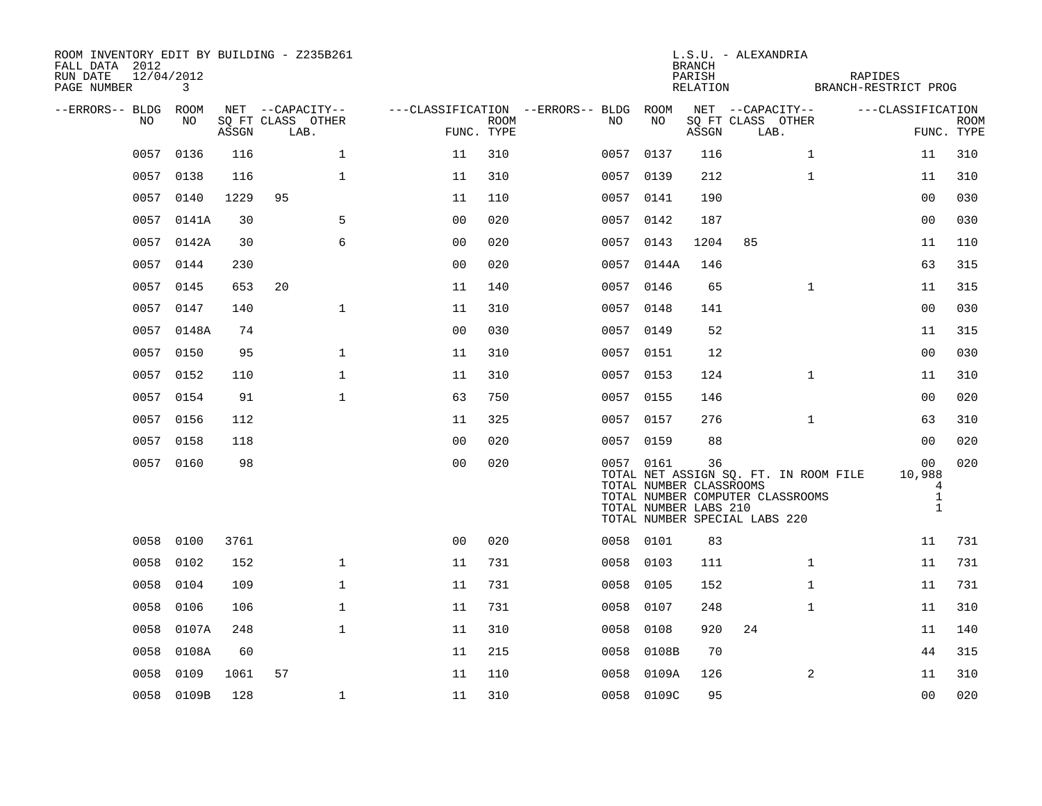| ROOM INVENTORY EDIT BY BUILDING - Z235B261<br>FALL DATA 2012<br>RUN DATE<br>PAGE NUMBER | 12/04/2012<br>3 |       |                                               |              |                                                      |             |           |                                                  | <b>BRANCH</b><br>PARISH<br>RELATION | L.S.U. - ALEXANDRIA                                               |              | RAPIDES<br>BRANCH-RESTRICT PROG       |                                                               |             |
|-----------------------------------------------------------------------------------------|-----------------|-------|-----------------------------------------------|--------------|------------------------------------------------------|-------------|-----------|--------------------------------------------------|-------------------------------------|-------------------------------------------------------------------|--------------|---------------------------------------|---------------------------------------------------------------|-------------|
| --ERRORS-- BLDG ROOM<br>NO                                                              | NO              | ASSGN | NET --CAPACITY--<br>SQ FT CLASS OTHER<br>LAB. |              | ---CLASSIFICATION --ERRORS-- BLDG ROOM<br>FUNC. TYPE | <b>ROOM</b> | NO        | NO                                               | ASSGN                               | NET --CAPACITY--<br>SQ FT CLASS OTHER<br>LAB.                     |              | ---CLASSIFICATION                     | FUNC. TYPE                                                    | <b>ROOM</b> |
| 0057                                                                                    | 0136            | 116   |                                               | $\mathbf{1}$ | 11                                                   | 310         | 0057 0137 |                                                  | 116                                 |                                                                   | $\mathbf{1}$ |                                       | 11                                                            | 310         |
| 0057                                                                                    | 0138            | 116   |                                               | $\mathbf{1}$ | 11                                                   | 310         | 0057 0139 |                                                  | 212                                 |                                                                   | $\mathbf{1}$ |                                       | 11                                                            | 310         |
|                                                                                         | 0057 0140       | 1229  | 95                                            |              | 11                                                   | 110         | 0057 0141 |                                                  | 190                                 |                                                                   |              |                                       | 0 <sub>0</sub>                                                | 030         |
| 0057                                                                                    | 0141A           | 30    |                                               | 5            | 00                                                   | 020         | 0057 0142 |                                                  | 187                                 |                                                                   |              |                                       | 0 <sub>0</sub>                                                | 030         |
|                                                                                         | 0057 0142A      | 30    |                                               | 6            | 0 <sub>0</sub>                                       | 020         | 0057 0143 |                                                  | 1204                                | 85                                                                |              |                                       | 11                                                            | 110         |
| 0057                                                                                    | 0144            | 230   |                                               |              | 0 <sub>0</sub>                                       | 020         |           | 0057 0144A                                       | 146                                 |                                                                   |              |                                       | 63                                                            | 315         |
| 0057                                                                                    | 0145            | 653   | 20                                            |              | 11                                                   | 140         | 0057 0146 |                                                  | 65                                  |                                                                   | $\mathbf{1}$ |                                       | 11                                                            | 315         |
| 0057                                                                                    | 0147            | 140   |                                               | $\mathbf 1$  | 11                                                   | 310         | 0057 0148 |                                                  | 141                                 |                                                                   |              |                                       | 0 <sub>0</sub>                                                | 030         |
|                                                                                         | 0057 0148A      | 74    |                                               |              | 0 <sub>0</sub>                                       | 030         | 0057 0149 |                                                  | 52                                  |                                                                   |              |                                       | 11                                                            | 315         |
| 0057                                                                                    | 0150            | 95    |                                               | $\mathbf{1}$ | 11                                                   | 310         | 0057 0151 |                                                  | 12                                  |                                                                   |              |                                       | 00                                                            | 030         |
|                                                                                         | 0057 0152       | 110   |                                               | $\mathbf 1$  | 11                                                   | 310         | 0057 0153 |                                                  | 124                                 |                                                                   | $\mathbf{1}$ |                                       | 11                                                            | 310         |
| 0057                                                                                    | 0154            | 91    |                                               | $\mathbf 1$  | 63                                                   | 750         | 0057 0155 |                                                  | 146                                 |                                                                   |              |                                       | 0 <sub>0</sub>                                                | 020         |
|                                                                                         | 0057 0156       | 112   |                                               |              | 11                                                   | 325         | 0057 0157 |                                                  | 276                                 |                                                                   | $\mathbf{1}$ |                                       | 63                                                            | 310         |
| 0057                                                                                    | 0158            | 118   |                                               |              | 0 <sub>0</sub>                                       | 020         | 0057 0159 |                                                  | 88                                  |                                                                   |              |                                       | 0 <sub>0</sub>                                                | 020         |
|                                                                                         | 0057 0160       | 98    |                                               |              | 0 <sub>0</sub>                                       | 020         | 0057 0161 | TOTAL NUMBER CLASSROOMS<br>TOTAL NUMBER LABS 210 | 36                                  | TOTAL NUMBER COMPUTER CLASSROOMS<br>TOTAL NUMBER SPECIAL LABS 220 |              | TOTAL NET ASSIGN SQ. FT. IN ROOM FILE | 0 <sub>0</sub><br>10,988<br>4<br>$\mathbf{1}$<br>$\mathbf{1}$ | 020         |
|                                                                                         | 0058 0100       | 3761  |                                               |              | 0 <sub>0</sub>                                       | 020         | 0058 0101 |                                                  | 83                                  |                                                                   |              |                                       | 11                                                            | 731         |
| 0058                                                                                    | 0102            | 152   |                                               | $\mathbf{1}$ | 11                                                   | 731         | 0058 0103 |                                                  | 111                                 |                                                                   | $\mathbf{1}$ |                                       | 11                                                            | 731         |
| 0058                                                                                    | 0104            | 109   |                                               | $\mathbf{1}$ | 11                                                   | 731         | 0058 0105 |                                                  | 152                                 |                                                                   | $\mathbf{1}$ |                                       | 11                                                            | 731         |
| 0058                                                                                    | 0106            | 106   |                                               | $\mathbf 1$  | 11                                                   | 731         | 0058      | 0107                                             | 248                                 |                                                                   | $\mathbf{1}$ |                                       | 11                                                            | 310         |
| 0058                                                                                    | 0107A           | 248   |                                               | $\mathbf{1}$ | 11                                                   | 310         | 0058      | 0108                                             | 920                                 | 24                                                                |              |                                       | 11                                                            | 140         |
| 0058                                                                                    | 0108A           | 60    |                                               |              | 11                                                   | 215         | 0058      | 0108B                                            | 70                                  |                                                                   |              |                                       | 44                                                            | 315         |
| 0058                                                                                    | 0109            | 1061  | 57                                            |              | 11                                                   | 110         | 0058      | 0109A                                            | 126                                 |                                                                   | 2            |                                       | 11                                                            | 310         |
|                                                                                         | 0058 0109B      | 128   |                                               | $\mathbf 1$  | 11                                                   | 310         |           | 0058 0109C                                       | 95                                  |                                                                   |              |                                       | 0 <sub>0</sub>                                                | 020         |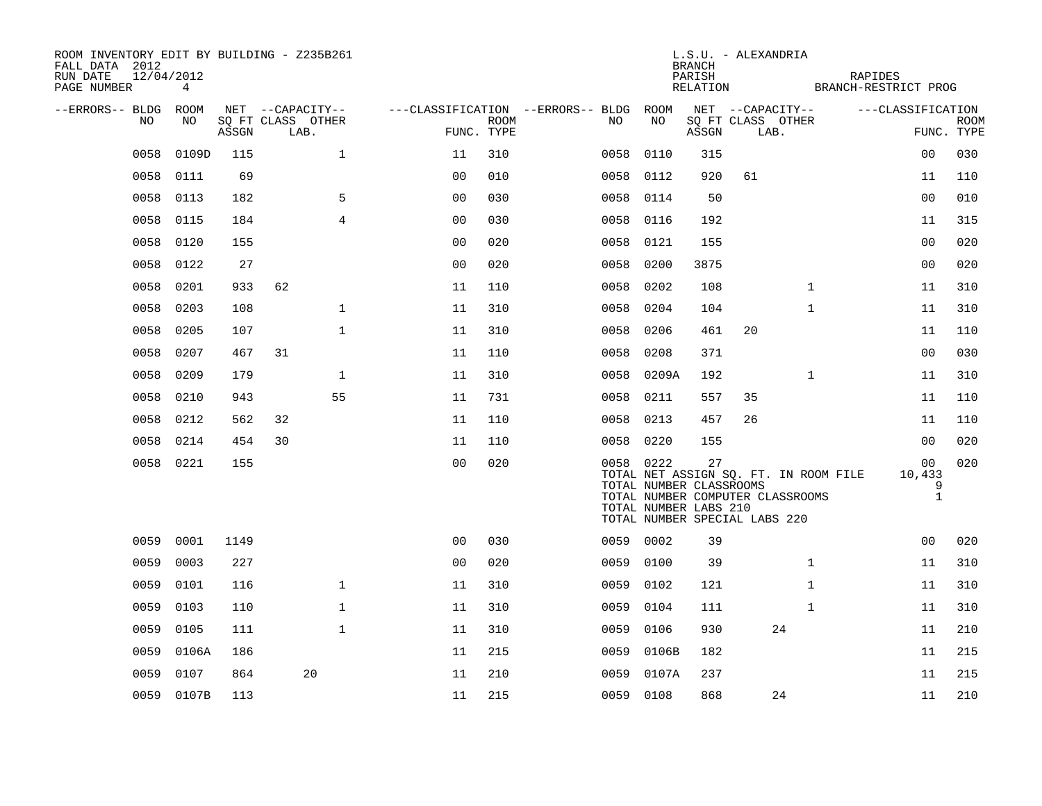| ROOM INVENTORY EDIT BY BUILDING - Z235B261<br>FALL DATA 2012<br>12/04/2012<br>RUN DATE<br>PAGE NUMBER | 4          |       |                           |                |                           |                                        |                                                                                                                       | <b>BRANCH</b><br>PARISH<br>RELATION | L.S.U. - ALEXANDRIA |                           | RAPIDES<br>BRANCH-RESTRICT PROG       |                                   |             |
|-------------------------------------------------------------------------------------------------------|------------|-------|---------------------------|----------------|---------------------------|----------------------------------------|-----------------------------------------------------------------------------------------------------------------------|-------------------------------------|---------------------|---------------------------|---------------------------------------|-----------------------------------|-------------|
| --ERRORS-- BLDG ROOM                                                                                  |            |       | NET --CAPACITY--          |                |                           | ---CLASSIFICATION --ERRORS-- BLDG ROOM |                                                                                                                       |                                     |                     | NET --CAPACITY--          |                                       | ---CLASSIFICATION                 |             |
| NO                                                                                                    | NO         | ASSGN | SQ FT CLASS OTHER<br>LAB. |                | <b>ROOM</b><br>FUNC. TYPE | NO                                     | NO                                                                                                                    | ASSGN                               |                     | SQ FT CLASS OTHER<br>LAB. |                                       | FUNC. TYPE                        | <b>ROOM</b> |
| 0058                                                                                                  | 0109D      | 115   | $\mathbf{1}$              | 11             | 310                       | 0058                                   | 0110                                                                                                                  | 315                                 |                     |                           |                                       | 0 <sub>0</sub>                    | 030         |
| 0058                                                                                                  | 0111       | 69    |                           | 0 <sub>0</sub> | 010                       | 0058                                   | 0112                                                                                                                  | 920                                 | 61                  |                           |                                       | 11                                | 110         |
| 0058                                                                                                  | 0113       | 182   | 5                         | 0 <sub>0</sub> | 030                       | 0058 0114                              |                                                                                                                       | 50                                  |                     |                           |                                       | 0 <sub>0</sub>                    | 010         |
| 0058                                                                                                  | 0115       | 184   | $\overline{4}$            | 0 <sub>0</sub> | 030                       | 0058                                   | 0116                                                                                                                  | 192                                 |                     |                           |                                       | 11                                | 315         |
| 0058                                                                                                  | 0120       | 155   |                           | 0 <sub>0</sub> | 020                       | 0058                                   | 0121                                                                                                                  | 155                                 |                     |                           |                                       | 00                                | 020         |
| 0058                                                                                                  | 0122       | 27    |                           | 0 <sub>0</sub> | 020                       | 0058                                   | 0200                                                                                                                  | 3875                                |                     |                           |                                       | 0 <sub>0</sub>                    | 020         |
| 0058                                                                                                  | 0201       | 933   | 62                        | 11             | 110                       | 0058                                   | 0202                                                                                                                  | 108                                 |                     | $\mathbf{1}$              |                                       | 11                                | 310         |
| 0058                                                                                                  | 0203       | 108   | $\mathbf{1}$              | 11             | 310                       | 0058                                   | 0204                                                                                                                  | 104                                 |                     | $\mathbf{1}$              |                                       | 11                                | 310         |
| 0058                                                                                                  | 0205       | 107   | $\mathbf{1}$              | 11             | 310                       | 0058                                   | 0206                                                                                                                  | 461                                 | 20                  |                           |                                       | 11                                | 110         |
| 0058                                                                                                  | 0207       | 467   | 31                        | 11             | 110                       | 0058                                   | 0208                                                                                                                  | 371                                 |                     |                           |                                       | 00                                | 030         |
| 0058                                                                                                  | 0209       | 179   | $\mathbf{1}$              | 11             | 310                       |                                        | 0058 0209A                                                                                                            | 192                                 |                     | $\mathbf{1}$              |                                       | 11                                | 310         |
| 0058                                                                                                  | 0210       | 943   | 55                        | 11             | 731                       | 0058                                   | 0211                                                                                                                  | 557                                 | 35                  |                           |                                       | 11                                | 110         |
| 0058                                                                                                  | 0212       | 562   | 32                        | 11             | 110                       | 0058 0213                              |                                                                                                                       | 457                                 | 26                  |                           |                                       | 11                                | 110         |
| 0058                                                                                                  | 0214       | 454   | 30                        | 11             | 110                       | 0058 0220                              |                                                                                                                       | 155                                 |                     |                           |                                       | 0 <sub>0</sub>                    | 020         |
|                                                                                                       | 0058 0221  | 155   |                           | 0 <sub>0</sub> | 020                       | 0058 0222                              | TOTAL NUMBER CLASSROOMS<br>TOTAL NUMBER COMPUTER CLASSROOMS<br>TOTAL NUMBER LABS 210<br>TOTAL NUMBER SPECIAL LABS 220 | 27                                  |                     |                           | TOTAL NET ASSIGN SQ. FT. IN ROOM FILE | 00<br>10,433<br>9<br>$\mathbf{1}$ | 020         |
| 0059                                                                                                  | 0001       | 1149  |                           | 0 <sub>0</sub> | 030                       | 0059 0002                              |                                                                                                                       | 39                                  |                     |                           |                                       | 00                                | 020         |
| 0059                                                                                                  | 0003       | 227   |                           | 0 <sub>0</sub> | 020                       | 0059                                   | 0100                                                                                                                  | 39                                  |                     | $\mathbf{1}$              |                                       | 11                                | 310         |
| 0059                                                                                                  | 0101       | 116   | $\mathbf{1}$              | 11             | 310                       | 0059 0102                              |                                                                                                                       | 121                                 |                     | $\mathbf{1}$              |                                       | 11                                | 310         |
| 0059                                                                                                  | 0103       | 110   | $\mathbf 1$               | 11             | 310                       | 0059                                   | 0104                                                                                                                  | 111                                 |                     | $\mathbf{1}$              |                                       | 11                                | 310         |
| 0059                                                                                                  | 0105       | 111   | $\mathbf{1}$              | 11             | 310                       | 0059                                   | 0106                                                                                                                  | 930                                 |                     | 24                        |                                       | 11                                | 210         |
| 0059                                                                                                  | 0106A      | 186   |                           | 11             | 215                       | 0059                                   | 0106B                                                                                                                 | 182                                 |                     |                           |                                       | 11                                | 215         |
| 0059                                                                                                  | 0107       | 864   | 20                        | 11             | 210                       | 0059                                   | 0107A                                                                                                                 | 237                                 |                     |                           |                                       | 11                                | 215         |
|                                                                                                       | 0059 0107B | 113   |                           | 11             | 215                       | 0059 0108                              |                                                                                                                       | 868                                 |                     | 24                        |                                       | 11                                | 210         |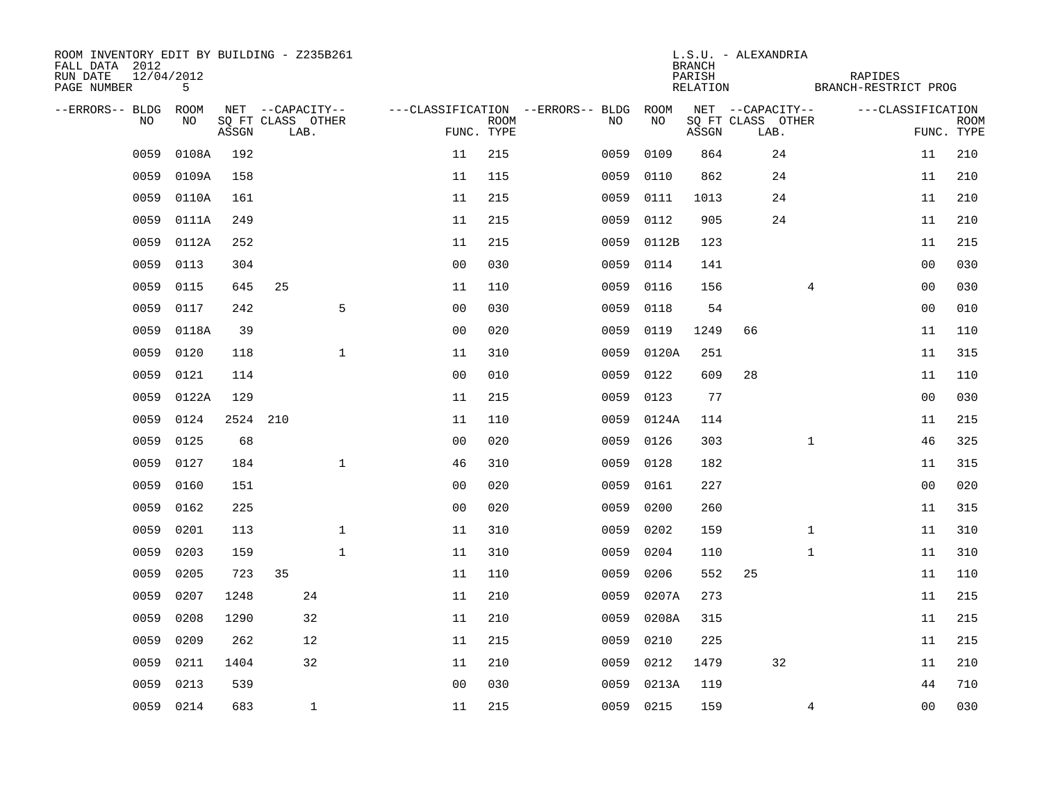| ROOM INVENTORY EDIT BY BUILDING - Z235B261<br>FALL DATA 2012<br>RUN DATE<br>PAGE NUMBER | 12/04/2012<br>5 |       |     |                           |                |             |                                        |            | <b>BRANCH</b><br>PARISH<br>RELATION | L.S.U. - ALEXANDRIA       | RAPIDES<br>BRANCH-RESTRICT PROG |                |             |
|-----------------------------------------------------------------------------------------|-----------------|-------|-----|---------------------------|----------------|-------------|----------------------------------------|------------|-------------------------------------|---------------------------|---------------------------------|----------------|-------------|
| --ERRORS-- BLDG ROOM                                                                    |                 |       |     | NET --CAPACITY--          |                |             | ---CLASSIFICATION --ERRORS-- BLDG ROOM |            |                                     | NET --CAPACITY--          | ---CLASSIFICATION               |                |             |
| NO                                                                                      | NO              | ASSGN |     | SQ FT CLASS OTHER<br>LAB. | FUNC. TYPE     | <b>ROOM</b> | NO.                                    | NO         | ASSGN                               | SQ FT CLASS OTHER<br>LAB. |                                 | FUNC. TYPE     | <b>ROOM</b> |
| 0059                                                                                    | 0108A           | 192   |     |                           | 11             | 215         | 0059                                   | 0109       | 864                                 | 24                        |                                 | 11             | 210         |
| 0059                                                                                    | 0109A           | 158   |     |                           | 11             | 115         | 0059                                   | 0110       | 862                                 | 24                        |                                 | 11             | 210         |
| 0059                                                                                    | 0110A           | 161   |     |                           | 11             | 215         | 0059                                   | 0111       | 1013                                | 24                        |                                 | 11             | 210         |
| 0059                                                                                    | 0111A           | 249   |     |                           | 11             | 215         | 0059                                   | 0112       | 905                                 | 24                        |                                 | 11             | 210         |
| 0059                                                                                    | 0112A           | 252   |     |                           | 11             | 215         | 0059                                   | 0112B      | 123                                 |                           |                                 | 11             | 215         |
| 0059                                                                                    | 0113            | 304   |     |                           | 0 <sub>0</sub> | 030         |                                        | 0059 0114  | 141                                 |                           |                                 | 00             | 030         |
| 0059                                                                                    | 0115            | 645   | 25  |                           | 11             | 110         | 0059                                   | 0116       | 156                                 |                           | 4                               | 00             | 030         |
| 0059                                                                                    | 0117            | 242   |     | 5                         | 0 <sub>0</sub> | 030         | 0059                                   | 0118       | 54                                  |                           |                                 | 0 <sub>0</sub> | 010         |
| 0059                                                                                    | 0118A           | 39    |     |                           | 0 <sub>0</sub> | 020         | 0059                                   | 0119       | 1249                                | 66                        |                                 | 11             | 110         |
| 0059                                                                                    | 0120            | 118   |     | $\mathbf{1}$              | 11             | 310         |                                        | 0059 0120A | 251                                 |                           |                                 | 11             | 315         |
| 0059                                                                                    | 0121            | 114   |     |                           | 0 <sub>0</sub> | 010         | 0059                                   | 0122       | 609                                 | 28                        |                                 | 11             | 110         |
| 0059                                                                                    | 0122A           | 129   |     |                           | 11             | 215         | 0059                                   | 0123       | 77                                  |                           |                                 | 0 <sub>0</sub> | 030         |
| 0059                                                                                    | 0124            | 2524  | 210 |                           | 11             | 110         | 0059                                   | 0124A      | 114                                 |                           |                                 | 11             | 215         |
| 0059                                                                                    | 0125            | 68    |     |                           | 0 <sub>0</sub> | 020         | 0059                                   | 0126       | 303                                 |                           | $\mathbf{1}$                    | 46             | 325         |
| 0059                                                                                    | 0127            | 184   |     | $\mathbf{1}$              | 46             | 310         | 0059                                   | 0128       | 182                                 |                           |                                 | 11             | 315         |
| 0059                                                                                    | 0160            | 151   |     |                           | 0 <sub>0</sub> | 020         | 0059                                   | 0161       | 227                                 |                           |                                 | 00             | 020         |
| 0059                                                                                    | 0162            | 225   |     |                           | 0 <sub>0</sub> | 020         | 0059                                   | 0200       | 260                                 |                           |                                 | 11             | 315         |
| 0059                                                                                    | 0201            | 113   |     | $\mathbf 1$               | 11             | 310         | 0059                                   | 0202       | 159                                 |                           | $\mathbf{1}$                    | 11             | 310         |
| 0059                                                                                    | 0203            | 159   |     | $\mathbf{1}$              | 11             | 310         | 0059                                   | 0204       | 110                                 |                           | $\mathbf{1}$                    | 11             | 310         |
| 0059                                                                                    | 0205            | 723   | 35  |                           | 11             | 110         | 0059                                   | 0206       | 552                                 | 25                        |                                 | 11             | 110         |
| 0059                                                                                    | 0207            | 1248  |     | 24                        | 11             | 210         | 0059                                   | 0207A      | 273                                 |                           |                                 | 11             | 215         |
| 0059                                                                                    | 0208            | 1290  |     | 32                        | 11             | 210         | 0059                                   | 0208A      | 315                                 |                           |                                 | 11             | 215         |
| 0059                                                                                    | 0209            | 262   |     | 12                        | 11             | 215         | 0059                                   | 0210       | 225                                 |                           |                                 | 11             | 215         |
| 0059                                                                                    | 0211            | 1404  |     | 32                        | 11             | 210         | 0059                                   | 0212       | 1479                                | 32                        |                                 | 11             | 210         |
| 0059                                                                                    | 0213            | 539   |     |                           | 0 <sub>0</sub> | 030         | 0059                                   | 0213A      | 119                                 |                           |                                 | 44             | 710         |
|                                                                                         | 0059 0214       | 683   |     | $\mathbf{1}$              | 11             | 215         |                                        | 0059 0215  | 159                                 |                           | 4                               | 0 <sub>0</sub> | 030         |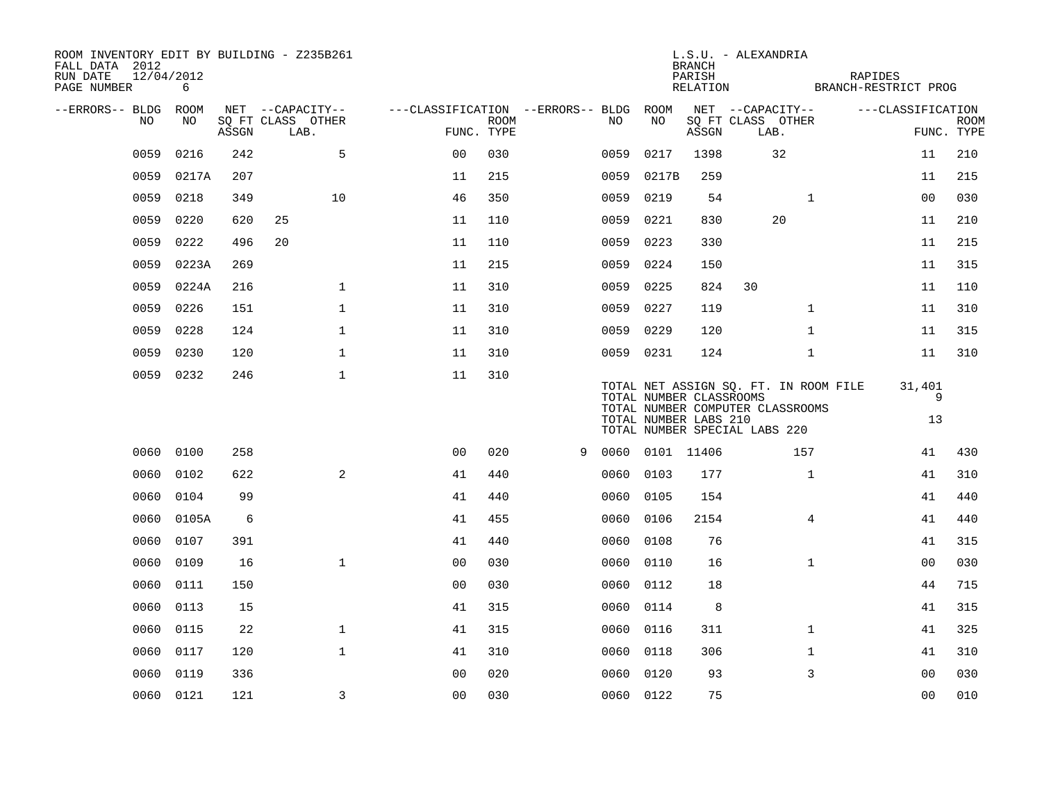| FALL DATA 2012<br>RUN DATE<br>PAGE NUMBER | 12/04/2012 | 6     |       | ROOM INVENTORY EDIT BY BUILDING - Z235B261    |                                        |                           |   |           |                 | <b>BRANCH</b><br>PARISH<br>RELATION              | L.S.U. - ALEXANDRIA                                                                                        | <b>RAPIDES</b><br>BRANCH-RESTRICT PROG |                   |                           |
|-------------------------------------------|------------|-------|-------|-----------------------------------------------|----------------------------------------|---------------------------|---|-----------|-----------------|--------------------------------------------------|------------------------------------------------------------------------------------------------------------|----------------------------------------|-------------------|---------------------------|
| --ERRORS-- BLDG ROOM                      | NO.        | NO.   | ASSGN | NET --CAPACITY--<br>SQ FT CLASS OTHER<br>LAB. | ---CLASSIFICATION --ERRORS-- BLDG ROOM | <b>ROOM</b><br>FUNC. TYPE |   | NO.       | NO              | ASSGN                                            | NET --CAPACITY--<br>SQ FT CLASS OTHER<br>LAB.                                                              |                                        | ---CLASSIFICATION | <b>ROOM</b><br>FUNC. TYPE |
|                                           | 0059       | 0216  | 242   | 5                                             | 0 <sup>0</sup>                         | 030                       |   | 0059      | 0217            | 1398                                             | 32                                                                                                         |                                        | 11                | 210                       |
|                                           | 0059       | 0217A | 207   |                                               | 11                                     | 215                       |   | 0059      | 0217B           | 259                                              |                                                                                                            |                                        | 11                | 215                       |
|                                           | 0059       | 0218  | 349   | 10                                            | 46                                     | 350                       |   | 0059      | 0219            | 54                                               | $\mathbf{1}$                                                                                               |                                        | 00                | 030                       |
|                                           | 0059       | 0220  | 620   | 25                                            | 11                                     | 110                       |   | 0059      | 0221            | 830                                              | 20                                                                                                         |                                        | 11                | 210                       |
|                                           | 0059       | 0222  | 496   | 20                                            | 11                                     | 110                       |   | 0059      | 0223            | 330                                              |                                                                                                            |                                        | 11                | 215                       |
|                                           | 0059       | 0223A | 269   |                                               | 11                                     | 215                       |   |           | 0059 0224       | 150                                              |                                                                                                            |                                        | 11                | 315                       |
|                                           | 0059       | 0224A | 216   | $\mathbf 1$                                   | 11                                     | 310                       |   | 0059 0225 |                 | 824                                              | 30                                                                                                         |                                        | 11                | 110                       |
|                                           | 0059       | 0226  | 151   | $\mathbf 1$                                   | 11                                     | 310                       |   | 0059 0227 |                 | 119                                              | $\mathbf{1}$                                                                                               |                                        | 11                | 310                       |
|                                           | 0059       | 0228  | 124   | $\mathbf{1}$                                  | 11                                     | 310                       |   | 0059 0229 |                 | 120                                              | $\mathbf{1}$                                                                                               |                                        | 11                | 315                       |
|                                           | 0059       | 0230  | 120   | $\mathbf 1$                                   | 11                                     | 310                       |   |           | 0059 0231       | 124                                              | $\mathbf{1}$                                                                                               |                                        | 11                | 310                       |
|                                           | 0059 0232  |       | 246   | $\mathbf{1}$                                  | 11                                     | 310                       |   |           |                 | TOTAL NUMBER CLASSROOMS<br>TOTAL NUMBER LABS 210 | TOTAL NET ASSIGN SQ. FT. IN ROOM FILE<br>TOTAL NUMBER COMPUTER CLASSROOMS<br>TOTAL NUMBER SPECIAL LABS 220 |                                        | 31,401<br>9<br>13 |                           |
|                                           | 0060 0100  |       | 258   |                                               | 0 <sub>0</sub>                         | 020                       | 9 |           | 0060 0101 11406 |                                                  | 157                                                                                                        |                                        | 41                | 430                       |
|                                           | 0060       | 0102  | 622   | 2                                             | 41                                     | 440                       |   | 0060      | 0103            | 177                                              | $\mathbf{1}$                                                                                               |                                        | 41                | 310                       |
|                                           | 0060       | 0104  | 99    |                                               | 41                                     | 440                       |   |           | 0060 0105       | 154                                              |                                                                                                            |                                        | 41                | 440                       |
|                                           | 0060       | 0105A | 6     |                                               | 41                                     | 455                       |   | 0060      | 0106            | 2154                                             | $\overline{4}$                                                                                             |                                        | 41                | 440                       |
|                                           | 0060       | 0107  | 391   |                                               | 41                                     | 440                       |   | 0060      | 0108            | 76                                               |                                                                                                            |                                        | 41                | 315                       |
|                                           | 0060       | 0109  | 16    | $\mathbf{1}$                                  | 0 <sub>0</sub>                         | 030                       |   | 0060      | 0110            | 16                                               | $\mathbf{1}$                                                                                               |                                        | 00                | 030                       |
|                                           | 0060       | 0111  | 150   |                                               | 0 <sub>0</sub>                         | 030                       |   |           | 0060 0112       | 18                                               |                                                                                                            |                                        | 44                | 715                       |
|                                           | 0060       | 0113  | 15    |                                               | 41                                     | 315                       |   | 0060      | 0114            | 8                                                |                                                                                                            |                                        | 41                | 315                       |
|                                           | 0060       | 0115  | 22    | $\mathbf 1$                                   | 41                                     | 315                       |   |           | 0060 0116       | 311                                              | $\mathbf{1}$                                                                                               |                                        | 41                | 325                       |
|                                           | 0060       | 0117  | 120   | $\mathbf{1}$                                  | 41                                     | 310                       |   |           | 0060 0118       | 306                                              | $\mathbf{1}$                                                                                               |                                        | 41                | 310                       |
|                                           | 0060       | 0119  | 336   |                                               | 0 <sub>0</sub>                         | 020                       |   | 0060      | 0120            | 93                                               | 3                                                                                                          |                                        | 0 <sub>0</sub>    | 030                       |
|                                           | 0060 0121  |       | 121   | 3                                             | 0 <sub>0</sub>                         | 030                       |   |           | 0060 0122       | 75                                               |                                                                                                            |                                        | 0 <sub>0</sub>    | 010                       |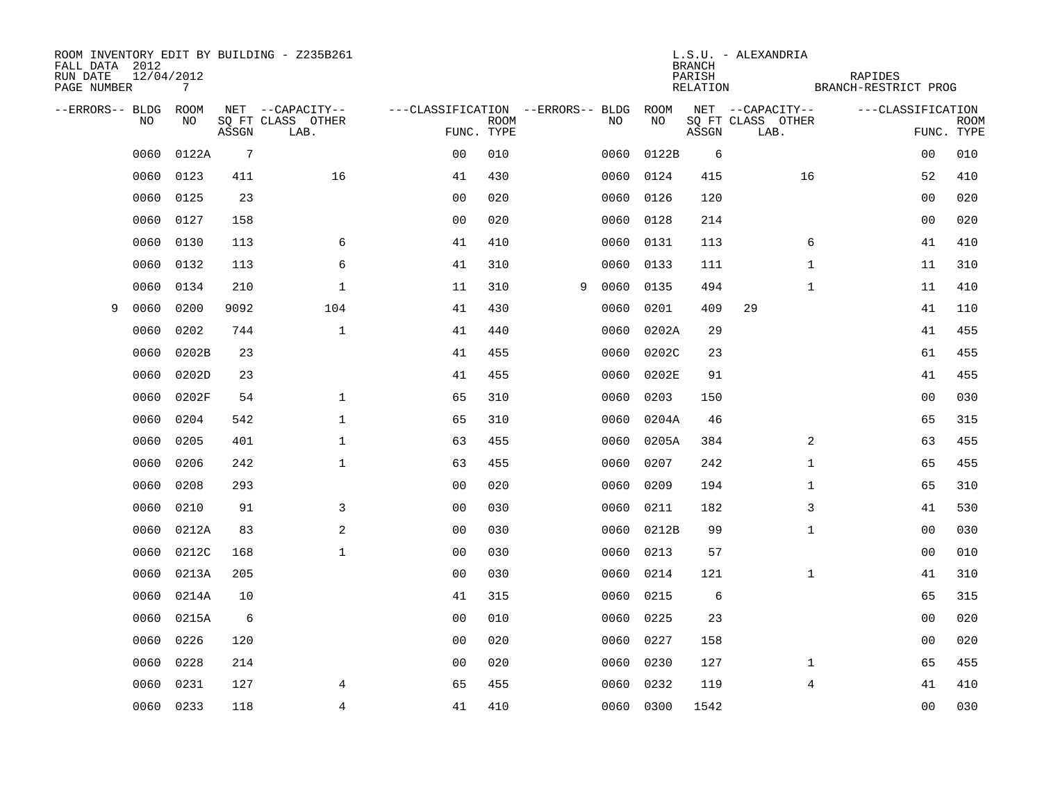| FALL DATA 2012<br>RUN DATE<br>PAGE NUMBER | 12/04/2012 | 7     |                 | ROOM INVENTORY EDIT BY BUILDING - Z235B261 |                                   |             |   |      |           | <b>BRANCH</b><br>PARISH<br>RELATION | L.S.U. - ALEXANDRIA       | RAPIDES<br>BRANCH-RESTRICT PROG |                |                           |
|-------------------------------------------|------------|-------|-----------------|--------------------------------------------|-----------------------------------|-------------|---|------|-----------|-------------------------------------|---------------------------|---------------------------------|----------------|---------------------------|
| --ERRORS-- BLDG ROOM                      |            |       |                 | NET --CAPACITY--                           | ---CLASSIFICATION --ERRORS-- BLDG |             |   |      | ROOM      |                                     | NET --CAPACITY--          | ---CLASSIFICATION               |                |                           |
|                                           | NO.        | NO.   | ASSGN           | SQ FT CLASS OTHER<br>LAB.                  | FUNC. TYPE                        | <b>ROOM</b> |   | NO   | NO        | ASSGN                               | SQ FT CLASS OTHER<br>LAB. |                                 |                | <b>ROOM</b><br>FUNC. TYPE |
|                                           | 0060       | 0122A | $7\phantom{.0}$ |                                            | 0 <sub>0</sub>                    | 010         |   | 0060 | 0122B     | 6                                   |                           |                                 | 0 <sub>0</sub> | 010                       |
|                                           | 0060       | 0123  | 411             | 16                                         | 41                                | 430         |   | 0060 | 0124      | 415                                 | 16                        |                                 | 52             | 410                       |
|                                           | 0060       | 0125  | 23              |                                            | 0 <sub>0</sub>                    | 020         |   | 0060 | 0126      | 120                                 |                           |                                 | 00             | 020                       |
|                                           | 0060       | 0127  | 158             |                                            | 0 <sub>0</sub>                    | 020         |   | 0060 | 0128      | 214                                 |                           |                                 | 00             | 020                       |
|                                           | 0060       | 0130  | 113             | 6                                          | 41                                | 410         |   | 0060 | 0131      | 113                                 | 6                         |                                 | 41             | 410                       |
|                                           | 0060       | 0132  | 113             | 6                                          | 41                                | 310         |   | 0060 | 0133      | 111                                 | $\mathbf{1}$              |                                 | 11             | 310                       |
|                                           | 0060       | 0134  | 210             | $\mathbf 1$                                | 11                                | 310         | 9 | 0060 | 0135      | 494                                 | $\mathbf{1}$              |                                 | 11             | 410                       |
| 9                                         | 0060       | 0200  | 9092            | 104                                        | 41                                | 430         |   | 0060 | 0201      | 409                                 | 29                        |                                 | 41             | 110                       |
|                                           | 0060       | 0202  | 744             | $\mathbf{1}$                               | 41                                | 440         |   | 0060 | 0202A     | 29                                  |                           |                                 | 41             | 455                       |
|                                           | 0060       | 0202B | 23              |                                            | 41                                | 455         |   | 0060 | 0202C     | 23                                  |                           |                                 | 61             | 455                       |
|                                           | 0060       | 0202D | 23              |                                            | 41                                | 455         |   | 0060 | 0202E     | 91                                  |                           |                                 | 41             | 455                       |
|                                           | 0060       | 0202F | 54              | $\mathbf{1}$                               | 65                                | 310         |   | 0060 | 0203      | 150                                 |                           |                                 | 0 <sub>0</sub> | 030                       |
|                                           | 0060       | 0204  | 542             | $\mathbf{1}$                               | 65                                | 310         |   | 0060 | 0204A     | 46                                  |                           |                                 | 65             | 315                       |
|                                           | 0060       | 0205  | 401             | $\mathbf{1}$                               | 63                                | 455         |   | 0060 | 0205A     | 384                                 | 2                         |                                 | 63             | 455                       |
|                                           | 0060       | 0206  | 242             | $\mathbf{1}$                               | 63                                | 455         |   | 0060 | 0207      | 242                                 | $\mathbf{1}$              |                                 | 65             | 455                       |
|                                           | 0060       | 0208  | 293             |                                            | 0 <sub>0</sub>                    | 020         |   | 0060 | 0209      | 194                                 | $\mathbf{1}$              |                                 | 65             | 310                       |
|                                           | 0060       | 0210  | 91              | 3                                          | 0 <sub>0</sub>                    | 030         |   | 0060 | 0211      | 182                                 | 3                         |                                 | 41             | 530                       |
|                                           | 0060       | 0212A | 83              | 2                                          | 0 <sub>0</sub>                    | 030         |   | 0060 | 0212B     | 99                                  | $\mathbf{1}$              |                                 | 00             | 030                       |
|                                           | 0060       | 0212C | 168             | $\mathbf{1}$                               | 0 <sub>0</sub>                    | 030         |   | 0060 | 0213      | 57                                  |                           |                                 | 00             | 010                       |
|                                           | 0060       | 0213A | 205             |                                            | 0 <sub>0</sub>                    | 030         |   | 0060 | 0214      | 121                                 | $\mathbf{1}$              |                                 | 41             | 310                       |
|                                           | 0060       | 0214A | 10              |                                            | 41                                | 315         |   | 0060 | 0215      | 6                                   |                           |                                 | 65             | 315                       |
|                                           | 0060       | 0215A | 6               |                                            | 0 <sub>0</sub>                    | 010         |   | 0060 | 0225      | 23                                  |                           |                                 | 00             | 020                       |
|                                           | 0060       | 0226  | 120             |                                            | 0 <sub>0</sub>                    | 020         |   | 0060 | 0227      | 158                                 |                           |                                 | 0 <sub>0</sub> | 020                       |
|                                           | 0060       | 0228  | 214             |                                            | 00                                | 020         |   | 0060 | 0230      | 127                                 | $\mathbf{1}$              |                                 | 65             | 455                       |
|                                           | 0060       | 0231  | 127             | $\overline{4}$                             | 65                                | 455         |   | 0060 | 0232      | 119                                 | $\overline{4}$            |                                 | 41             | 410                       |
|                                           | 0060 0233  |       | 118             | 4                                          | 41                                | 410         |   |      | 0060 0300 | 1542                                |                           |                                 | 0 <sub>0</sub> | 030                       |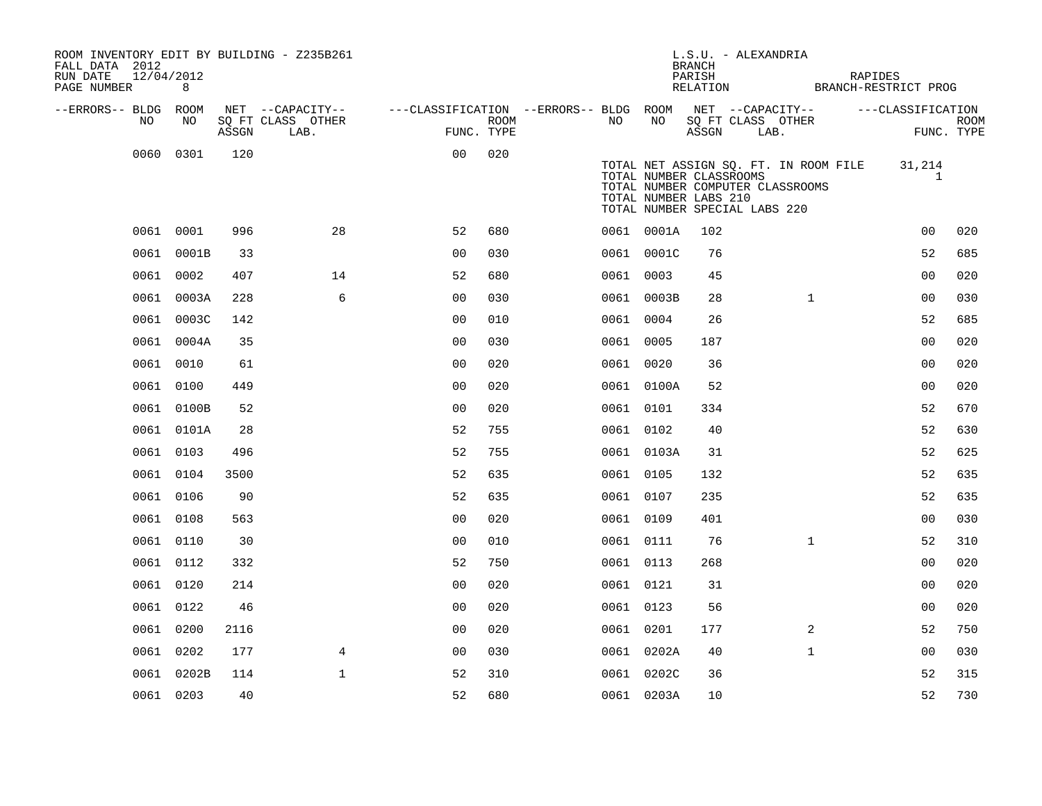| ROOM INVENTORY EDIT BY BUILDING - Z235B261<br>FALL DATA 2012<br>RUN DATE | 12/04/2012 |       |                                                                                                |                |      |           |            | L.S.U. - ALEXANDRIA<br><b>BRANCH</b><br>PARISH                                                                        |      |              |                                       | RAPIDES                       |             |
|--------------------------------------------------------------------------|------------|-------|------------------------------------------------------------------------------------------------|----------------|------|-----------|------------|-----------------------------------------------------------------------------------------------------------------------|------|--------------|---------------------------------------|-------------------------------|-------------|
| PAGE NUMBER 8                                                            |            |       |                                                                                                |                |      |           |            |                                                                                                                       |      |              |                                       | RELATION BRANCH-RESTRICT PROG |             |
| --ERRORS-- BLDG ROOM<br>NO.                                              | NO         |       | NET --CAPACITY-- ----CLASSIFICATION --ERRORS-- BLDG ROOM NET --CAPACITY--<br>SQ FT CLASS OTHER |                | ROOM | NO        | NO         | SQ FT CLASS OTHER                                                                                                     |      |              |                                       | ---CLASSIFICATION             | <b>ROOM</b> |
|                                                                          |            | ASSGN | LAB.                                                                                           | FUNC. TYPE     |      |           |            | ASSGN                                                                                                                 | LAB. |              |                                       |                               | FUNC. TYPE  |
|                                                                          | 0060 0301  | 120   |                                                                                                | 0 <sub>0</sub> | 020  |           |            | TOTAL NUMBER CLASSROOMS<br>TOTAL NUMBER COMPUTER CLASSROOMS<br>TOTAL NUMBER LABS 210<br>TOTAL NUMBER SPECIAL LABS 220 |      |              | TOTAL NET ASSIGN SQ. FT. IN ROOM FILE | 31,214<br>1                   |             |
|                                                                          | 0061 0001  | 996   | 28                                                                                             | 52             | 680  |           | 0061 0001A | 102                                                                                                                   |      |              |                                       | 00                            | 020         |
|                                                                          | 0061 0001B | 33    |                                                                                                | 00             | 030  |           | 0061 0001C | 76                                                                                                                    |      |              |                                       | 52                            | 685         |
|                                                                          | 0061 0002  | 407   | 14                                                                                             | 52             | 680  | 0061 0003 |            | 45                                                                                                                    |      |              |                                       | 00                            | 020         |
|                                                                          | 0061 0003A | 228   | 6                                                                                              | 00             | 030  |           | 0061 0003B | 28                                                                                                                    |      | $\mathbf{1}$ |                                       | 00                            | 030         |
|                                                                          | 0061 0003C | 142   |                                                                                                | 0 <sub>0</sub> | 010  | 0061 0004 |            | 26                                                                                                                    |      |              |                                       | 52                            | 685         |
|                                                                          | 0061 0004A | 35    |                                                                                                | 0 <sub>0</sub> | 030  | 0061 0005 |            | 187                                                                                                                   |      |              |                                       | 0 <sub>0</sub>                | 020         |
|                                                                          | 0061 0010  | 61    |                                                                                                | 0 <sub>0</sub> | 020  |           | 0061 0020  | 36                                                                                                                    |      |              |                                       | 0 <sub>0</sub>                | 020         |
|                                                                          | 0061 0100  | 449   |                                                                                                | 0 <sub>0</sub> | 020  |           | 0061 0100A | 52                                                                                                                    |      |              |                                       | 0 <sub>0</sub>                | 020         |
|                                                                          | 0061 0100B | 52    |                                                                                                | 0 <sub>0</sub> | 020  |           | 0061 0101  | 334                                                                                                                   |      |              |                                       | 52                            | 670         |
|                                                                          | 0061 0101A | 28    |                                                                                                | 52             | 755  | 0061 0102 |            | 40                                                                                                                    |      |              |                                       | 52                            | 630         |
|                                                                          | 0061 0103  | 496   |                                                                                                | 52             | 755  |           | 0061 0103A | 31                                                                                                                    |      |              |                                       | 52                            | 625         |
|                                                                          | 0061 0104  | 3500  |                                                                                                | 52             | 635  | 0061 0105 |            | 132                                                                                                                   |      |              |                                       | 52                            | 635         |
|                                                                          | 0061 0106  | 90    |                                                                                                | 52             | 635  | 0061 0107 |            | 235                                                                                                                   |      |              |                                       | 52                            | 635         |
|                                                                          | 0061 0108  | 563   |                                                                                                | 00             | 020  | 0061 0109 |            | 401                                                                                                                   |      |              |                                       | 0 <sub>0</sub>                | 030         |
|                                                                          | 0061 0110  | 30    |                                                                                                | 0 <sub>0</sub> | 010  | 0061 0111 |            | 76                                                                                                                    |      | $\mathbf{1}$ |                                       | 52                            | 310         |
|                                                                          | 0061 0112  | 332   |                                                                                                | 52             | 750  | 0061 0113 |            | 268                                                                                                                   |      |              |                                       | 0 <sub>0</sub>                | 020         |
|                                                                          | 0061 0120  | 214   |                                                                                                | 0 <sub>0</sub> | 020  | 0061 0121 |            | 31                                                                                                                    |      |              |                                       | 0 <sub>0</sub>                | 020         |
|                                                                          | 0061 0122  | 46    |                                                                                                | 00             | 020  | 0061 0123 |            | 56                                                                                                                    |      |              |                                       | 0 <sub>0</sub>                | 020         |
|                                                                          | 0061 0200  | 2116  |                                                                                                | 0 <sub>0</sub> | 020  | 0061 0201 |            | 177                                                                                                                   |      | 2            |                                       | 52                            | 750         |
|                                                                          | 0061 0202  | 177   | $\overline{4}$                                                                                 | 0 <sub>0</sub> | 030  |           | 0061 0202A | 40                                                                                                                    |      | $\mathbf{1}$ |                                       | 00                            | 030         |
|                                                                          | 0061 0202B | 114   | $\mathbf 1$                                                                                    | 52             | 310  |           | 0061 0202C | 36                                                                                                                    |      |              |                                       | 52                            | 315         |
|                                                                          | 0061 0203  | 40    |                                                                                                | 52             | 680  |           | 0061 0203A | 10                                                                                                                    |      |              |                                       | 52                            | 730         |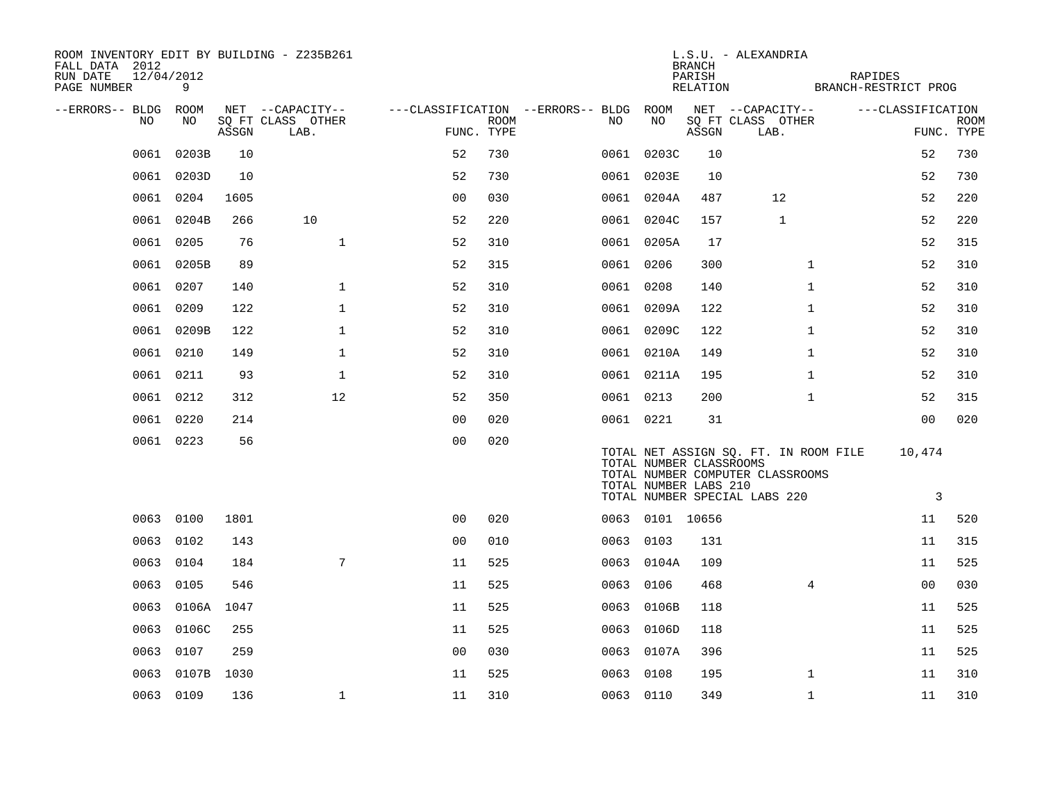| ROOM INVENTORY EDIT BY BUILDING - Z235B261<br>FALL DATA 2012<br>RUN DATE<br>PAGE NUMBER | 12/04/2012<br>9 |       |                                               |                |             |                                              |                                                  | <b>BRANCH</b><br>PARISH<br>RELATION | L.S.U. - ALEXANDRIA                                                                                        | RAPIDES<br>BRANCH-RESTRICT PROG |                |             |
|-----------------------------------------------------------------------------------------|-----------------|-------|-----------------------------------------------|----------------|-------------|----------------------------------------------|--------------------------------------------------|-------------------------------------|------------------------------------------------------------------------------------------------------------|---------------------------------|----------------|-------------|
| --ERRORS-- BLDG ROOM<br>NO                                                              | NO              | ASSGN | NET --CAPACITY--<br>SQ FT CLASS OTHER<br>LAB. | FUNC. TYPE     | <b>ROOM</b> | ---CLASSIFICATION --ERRORS-- BLDG ROOM<br>NO | NO                                               | ASSGN                               | NET --CAPACITY--<br>SQ FT CLASS OTHER<br>LAB.                                                              | ---CLASSIFICATION               | FUNC. TYPE     | <b>ROOM</b> |
| 0061                                                                                    | 0203B           | 10    |                                               | 52             | 730         |                                              | 0061 0203C                                       | 10                                  |                                                                                                            |                                 | 52             | 730         |
| 0061                                                                                    | 0203D           | 10    |                                               | 52             | 730         |                                              | 0061 0203E                                       | 10                                  |                                                                                                            |                                 | 52             | 730         |
|                                                                                         | 0061 0204       | 1605  |                                               | 0 <sub>0</sub> | 030         |                                              | 0061 0204A                                       | 487                                 | 12                                                                                                         |                                 | 52             | 220         |
| 0061                                                                                    | 0204B           | 266   | 10                                            | 52             | 220         |                                              | 0061 0204C                                       | 157                                 | $\mathbf{1}$                                                                                               |                                 | 52             | 220         |
|                                                                                         | 0061 0205       | 76    | $\mathbf{1}$                                  | 52             | 310         |                                              | 0061 0205A                                       | 17                                  |                                                                                                            |                                 | 52             | 315         |
| 0061                                                                                    | 0205B           | 89    |                                               | 52             | 315         | 0061 0206                                    |                                                  | 300                                 | $\mathbf{1}$                                                                                               |                                 | 52             | 310         |
| 0061                                                                                    | 0207            | 140   | $\mathbf 1$                                   | 52             | 310         | 0061 0208                                    |                                                  | 140                                 | $\mathbf{1}$                                                                                               |                                 | 52             | 310         |
| 0061                                                                                    | 0209            | 122   | $\mathbf 1$                                   | 52             | 310         |                                              | 0061 0209A                                       | 122                                 | $\mathbf{1}$                                                                                               |                                 | 52             | 310         |
| 0061                                                                                    | 0209B           | 122   | $\mathbf 1$                                   | 52             | 310         |                                              | 0061 0209C                                       | 122                                 | $\mathbf{1}$                                                                                               |                                 | 52             | 310         |
| 0061                                                                                    | 0210            | 149   | $\mathbf{1}$                                  | 52             | 310         |                                              | 0061 0210A                                       | 149                                 | $\mathbf{1}$                                                                                               |                                 | 52             | 310         |
|                                                                                         | 0061 0211       | 93    | $\mathbf{1}$                                  | 52             | 310         |                                              | 0061 0211A                                       | 195                                 | $\mathbf{1}$                                                                                               |                                 | 52             | 310         |
|                                                                                         | 0061 0212       | 312   | 12                                            | 52             | 350         | 0061 0213                                    |                                                  | 200                                 | $\mathbf{1}$                                                                                               |                                 | 52             | 315         |
|                                                                                         | 0061 0220       | 214   |                                               | 0 <sub>0</sub> | 020         | 0061 0221                                    |                                                  | 31                                  |                                                                                                            |                                 | 00             | 020         |
|                                                                                         | 0061 0223       | 56    |                                               | 0 <sub>0</sub> | 020         |                                              | TOTAL NUMBER CLASSROOMS<br>TOTAL NUMBER LABS 210 |                                     | TOTAL NET ASSIGN SQ. FT. IN ROOM FILE<br>TOTAL NUMBER COMPUTER CLASSROOMS<br>TOTAL NUMBER SPECIAL LABS 220 |                                 | 10,474<br>3    |             |
|                                                                                         | 0063 0100       | 1801  |                                               | 0 <sub>0</sub> | 020         |                                              | 0063 0101 10656                                  |                                     |                                                                                                            |                                 | 11             | 520         |
| 0063                                                                                    | 0102            | 143   |                                               | 0 <sub>0</sub> | 010         | 0063 0103                                    |                                                  | 131                                 |                                                                                                            |                                 | 11             | 315         |
| 0063                                                                                    | 0104            | 184   | $7\overline{ }$                               | 11             | 525         |                                              | 0063 0104A                                       | 109                                 |                                                                                                            |                                 | 11             | 525         |
|                                                                                         | 0063 0105       | 546   |                                               | 11             | 525         | 0063 0106                                    |                                                  | 468                                 | $\overline{4}$                                                                                             |                                 | 0 <sub>0</sub> | 030         |
| 0063                                                                                    | 0106A           | 1047  |                                               | 11             | 525         | 0063                                         | 0106B                                            | 118                                 |                                                                                                            |                                 | 11             | 525         |
| 0063                                                                                    | 0106C           | 255   |                                               | 11             | 525         |                                              | 0063 0106D                                       | 118                                 |                                                                                                            |                                 | 11             | 525         |
| 0063                                                                                    | 0107            | 259   |                                               | 0 <sub>0</sub> | 030         |                                              | 0063 0107A                                       | 396                                 |                                                                                                            |                                 | 11             | 525         |
| 0063                                                                                    | 0107B           | 1030  |                                               | 11             | 525         | 0063                                         | 0108                                             | 195                                 | $\mathbf{1}$                                                                                               |                                 | 11             | 310         |
|                                                                                         | 0063 0109       | 136   | $\mathbf 1$                                   | 11             | 310         | 0063 0110                                    |                                                  | 349                                 | $\mathbf{1}$                                                                                               |                                 | 11             | 310         |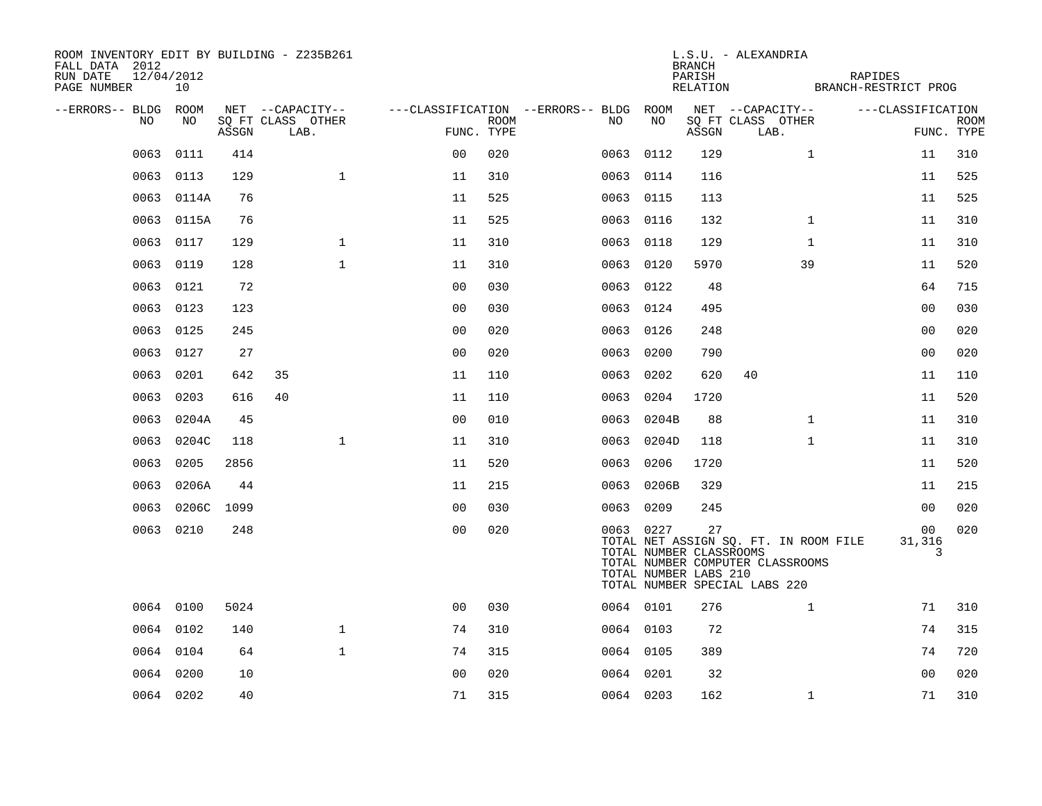| ROOM INVENTORY EDIT BY BUILDING - Z235B261<br>FALL DATA 2012<br>12/04/2012<br>RUN DATE<br>PAGE NUMBER | 10         |       |                           |                |             |                                        |            | BRANCH<br>PARISH<br>RELATION                           | L.S.U. - ALEXANDRIA                                                                                        | RAPIDES<br>BRANCH-RESTRICT PROG |                           |
|-------------------------------------------------------------------------------------------------------|------------|-------|---------------------------|----------------|-------------|----------------------------------------|------------|--------------------------------------------------------|------------------------------------------------------------------------------------------------------------|---------------------------------|---------------------------|
| --ERRORS-- BLDG ROOM                                                                                  |            |       | NET --CAPACITY--          |                |             | ---CLASSIFICATION --ERRORS-- BLDG ROOM |            |                                                        | NET --CAPACITY--                                                                                           | ---CLASSIFICATION               |                           |
| NO                                                                                                    | NO         | ASSGN | SO FT CLASS OTHER<br>LAB. | FUNC. TYPE     | <b>ROOM</b> | NO                                     | NO         | ASSGN                                                  | SQ FT CLASS OTHER<br>LAB.                                                                                  |                                 | <b>ROOM</b><br>FUNC. TYPE |
| 0063                                                                                                  | 0111       | 414   |                           | 0 <sub>0</sub> | 020         |                                        | 0063 0112  | 129                                                    | $\mathbf{1}$                                                                                               | 11                              | 310                       |
|                                                                                                       | 0063 0113  | 129   | $\mathbf{1}$              | 11             | 310         |                                        | 0063 0114  | 116                                                    |                                                                                                            | 11                              | 525                       |
|                                                                                                       | 0063 0114A | 76    |                           | 11             | 525         |                                        | 0063 0115  | 113                                                    |                                                                                                            | 11                              | 525                       |
|                                                                                                       | 0063 0115A | 76    |                           | 11             | 525         |                                        | 0063 0116  | 132                                                    | $\mathbf{1}$                                                                                               | 11                              | 310                       |
| 0063                                                                                                  | 0117       | 129   | $\mathbf 1$               | 11             | 310         |                                        | 0063 0118  | 129                                                    | $\mathbf{1}$                                                                                               | 11                              | 310                       |
|                                                                                                       | 0063 0119  | 128   | $\mathbf{1}$              | 11             | 310         |                                        | 0063 0120  | 5970                                                   | 39                                                                                                         | 11                              | 520                       |
|                                                                                                       | 0063 0121  | 72    |                           | 0 <sub>0</sub> | 030         |                                        | 0063 0122  | 48                                                     |                                                                                                            | 64                              | 715                       |
| 0063                                                                                                  | 0123       | 123   |                           | 00             | 030         |                                        | 0063 0124  | 495                                                    |                                                                                                            | 0 <sub>0</sub>                  | 030                       |
|                                                                                                       | 0063 0125  | 245   |                           | 0 <sub>0</sub> | 020         |                                        | 0063 0126  | 248                                                    |                                                                                                            | 0 <sub>0</sub>                  | 020                       |
|                                                                                                       | 0063 0127  | 27    |                           | 0 <sub>0</sub> | 020         |                                        | 0063 0200  | 790                                                    |                                                                                                            | 0 <sub>0</sub>                  | 020                       |
| 0063                                                                                                  | 0201       | 642   | 35                        | 11             | 110         |                                        | 0063 0202  | 620                                                    | 40                                                                                                         | 11                              | 110                       |
| 0063                                                                                                  | 0203       | 616   | 40                        | 11             | 110         | 0063                                   | 0204       | 1720                                                   |                                                                                                            | 11                              | 520                       |
| 0063                                                                                                  | 0204A      | 45    |                           | 0 <sub>0</sub> | 010         |                                        | 0063 0204B | 88                                                     | $\mathbf{1}$                                                                                               | 11                              | 310                       |
| 0063                                                                                                  | 0204C      | 118   | $\mathbf{1}$              | 11             | 310         |                                        | 0063 0204D | 118                                                    | $\mathbf{1}$                                                                                               | 11                              | 310                       |
| 0063                                                                                                  | 0205       | 2856  |                           | 11             | 520         | 0063                                   | 0206       | 1720                                                   |                                                                                                            | 11                              | 520                       |
| 0063                                                                                                  | 0206A      | 44    |                           | 11             | 215         | 0063                                   | 0206B      | 329                                                    |                                                                                                            | 11                              | 215                       |
| 0063                                                                                                  | 0206C 1099 |       |                           | 0 <sub>0</sub> | 030         |                                        | 0063 0209  | 245                                                    |                                                                                                            | 00                              | 020                       |
|                                                                                                       | 0063 0210  | 248   |                           | 0 <sub>0</sub> | 020         |                                        | 0063 0227  | 27<br>TOTAL NUMBER CLASSROOMS<br>TOTAL NUMBER LABS 210 | TOTAL NET ASSIGN SQ. FT. IN ROOM FILE<br>TOTAL NUMBER COMPUTER CLASSROOMS<br>TOTAL NUMBER SPECIAL LABS 220 | 00<br>31,316<br>3               | 020                       |
|                                                                                                       | 0064 0100  | 5024  |                           | 0 <sub>0</sub> | 030         |                                        | 0064 0101  | 276                                                    | $\mathbf{1}$                                                                                               | 71                              | 310                       |
|                                                                                                       | 0064 0102  | 140   | $\mathbf{1}$              | 74             | 310         |                                        | 0064 0103  | 72                                                     |                                                                                                            | 74                              | 315                       |
|                                                                                                       | 0064 0104  | 64    | $\mathbf{1}$              | 74             | 315         |                                        | 0064 0105  | 389                                                    |                                                                                                            | 74                              | 720                       |
|                                                                                                       | 0064 0200  | 10    |                           | 0 <sub>0</sub> | 020         |                                        | 0064 0201  | 32                                                     |                                                                                                            | 00                              | 020                       |
|                                                                                                       | 0064 0202  | 40    |                           | 71             | 315         |                                        | 0064 0203  | 162                                                    | $\mathbf{1}$                                                                                               | 71                              | 310                       |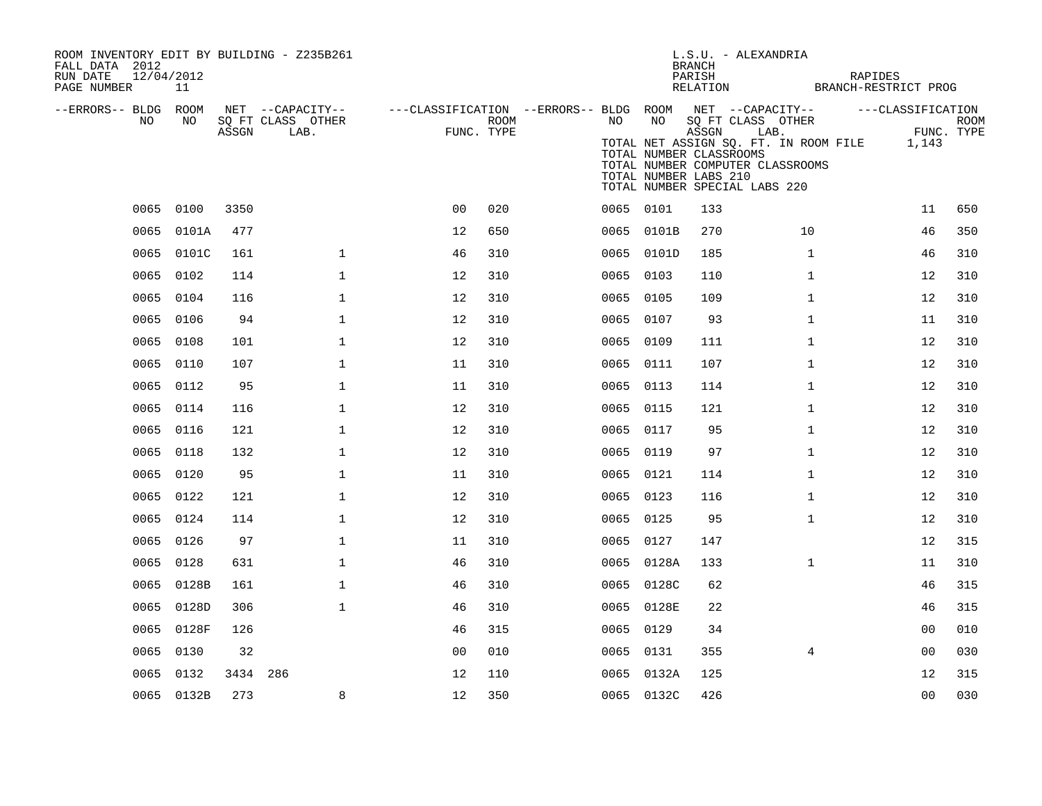| ROOM INVENTORY EDIT BY BUILDING - Z235B261<br>FALL DATA 2012<br>12/04/2012<br>RUN DATE<br>PAGE NUMBER | 11         |          |                                               |                                                                       |      |    |            | L.S.U. - ALEXANDRIA<br><b>BRANCH</b><br>PARISH                                                                                                      | RAPIDES<br>RELATION BRANCH-RESTRICT PROG            |                                 |      |
|-------------------------------------------------------------------------------------------------------|------------|----------|-----------------------------------------------|-----------------------------------------------------------------------|------|----|------------|-----------------------------------------------------------------------------------------------------------------------------------------------------|-----------------------------------------------------|---------------------------------|------|
| --ERRORS-- BLDG ROOM<br>NO.                                                                           | NO.        | ASSGN    | NET --CAPACITY--<br>SQ FT CLASS OTHER<br>LAB. | ---CLASSIFICATION --ERRORS-- BLDG ROOM NET --CAPACITY--<br>FUNC. TYPE | ROOM | NO | NO         | SQ FT CLASS OTHER<br>ASSGN<br>TOTAL NUMBER CLASSROOMS<br>TOTAL NUMBER COMPUTER CLASSROOMS<br>TOTAL NUMBER LABS 210<br>TOTAL NUMBER SPECIAL LABS 220 | LAB.<br>TOTAL NET ASSIGN SQ. FT. IN ROOM FILE 1,143 | ---CLASSIFICATION<br>FUNC. TYPE | ROOM |
|                                                                                                       | 0065 0100  | 3350     |                                               | 0 <sub>0</sub>                                                        | 020  |    | 0065 0101  | 133                                                                                                                                                 |                                                     | 11                              | 650  |
|                                                                                                       | 0065 0101A | 477      |                                               | 12                                                                    | 650  |    | 0065 0101B | 270                                                                                                                                                 | 10                                                  | 46                              | 350  |
|                                                                                                       | 0065 0101C | 161      | $\mathbf{1}$                                  | 46                                                                    | 310  |    | 0065 0101D | 185                                                                                                                                                 | $\mathbf{1}$                                        | 46                              | 310  |
|                                                                                                       | 0065 0102  | 114      | $\mathbf 1$                                   | 12                                                                    | 310  |    | 0065 0103  | 110                                                                                                                                                 | $\mathbf{1}$                                        | 12                              | 310  |
| 0065                                                                                                  | 0104       | 116      | 1                                             | 12                                                                    | 310  |    | 0065 0105  | 109                                                                                                                                                 | $\mathbf{1}$                                        | 12                              | 310  |
|                                                                                                       | 0065 0106  | 94       | $\mathbf 1$                                   | 12                                                                    | 310  |    | 0065 0107  | 93                                                                                                                                                  | $\mathbf{1}$                                        | 11                              | 310  |
|                                                                                                       | 0065 0108  | 101      | $\mathbf 1$                                   | 12                                                                    | 310  |    | 0065 0109  | 111                                                                                                                                                 | $\mathbf{1}$                                        | 12                              | 310  |
|                                                                                                       | 0065 0110  | 107      | $\mathbf 1$                                   | 11                                                                    | 310  |    | 0065 0111  | 107                                                                                                                                                 | $\mathbf{1}$                                        | 12                              | 310  |
|                                                                                                       | 0065 0112  | 95       | $\mathbf 1$                                   | 11                                                                    | 310  |    | 0065 0113  | 114                                                                                                                                                 | $\mathbf{1}$                                        | 12                              | 310  |
|                                                                                                       | 0065 0114  | 116      | $\mathbf 1$                                   | 12                                                                    | 310  |    | 0065 0115  | 121                                                                                                                                                 | $\mathbf{1}$                                        | 12                              | 310  |
|                                                                                                       | 0065 0116  | 121      | $\mathbf 1$                                   | 12                                                                    | 310  |    | 0065 0117  | 95                                                                                                                                                  | $\mathbf{1}$                                        | 12                              | 310  |
|                                                                                                       | 0065 0118  | 132      | $\mathbf 1$                                   | 12                                                                    | 310  |    | 0065 0119  | 97                                                                                                                                                  | $\mathbf{1}$                                        | 12                              | 310  |
| 0065                                                                                                  | 0120       | 95       | $\mathbf{1}$                                  | 11                                                                    | 310  |    | 0065 0121  | 114                                                                                                                                                 | $\mathbf{1}$                                        | 12                              | 310  |
|                                                                                                       | 0065 0122  | 121      | $\mathbf{1}$                                  | 12                                                                    | 310  |    | 0065 0123  | 116                                                                                                                                                 | $\mathbf{1}$                                        | 12                              | 310  |
| 0065                                                                                                  | 0124       | 114      | $\mathbf{1}$                                  | 12                                                                    | 310  |    | 0065 0125  | 95                                                                                                                                                  | $\mathbf{1}$                                        | 12                              | 310  |
|                                                                                                       | 0065 0126  | 97       | $\mathbf{1}$                                  | 11                                                                    | 310  |    | 0065 0127  | 147                                                                                                                                                 |                                                     | 12                              | 315  |
| 0065                                                                                                  | 0128       | 631      | $\mathbf{1}$                                  | 46                                                                    | 310  |    | 0065 0128A | 133                                                                                                                                                 | $\mathbf{1}$                                        | 11                              | 310  |
|                                                                                                       | 0065 0128B | 161      | $\mathbf{1}$                                  | 46                                                                    | 310  |    | 0065 0128C | 62                                                                                                                                                  |                                                     | 46                              | 315  |
| 0065                                                                                                  | 0128D      | 306      | $\mathbf 1$                                   | 46                                                                    | 310  |    | 0065 0128E | 22                                                                                                                                                  |                                                     | 46                              | 315  |
|                                                                                                       | 0065 0128F | 126      |                                               | 46                                                                    | 315  |    | 0065 0129  | 34                                                                                                                                                  |                                                     | 0 <sub>0</sub>                  | 010  |
| 0065                                                                                                  | 0130       | 32       |                                               | 0 <sub>0</sub>                                                        | 010  |    | 0065 0131  | 355                                                                                                                                                 | $\overline{4}$                                      | 00                              | 030  |
|                                                                                                       | 0065 0132  | 3434 286 |                                               | 12                                                                    | 110  |    | 0065 0132A | 125                                                                                                                                                 |                                                     | 12                              | 315  |
|                                                                                                       | 0065 0132B | 273      | 8                                             | 12                                                                    | 350  |    | 0065 0132C | 426                                                                                                                                                 |                                                     | 0 <sub>0</sub>                  | 030  |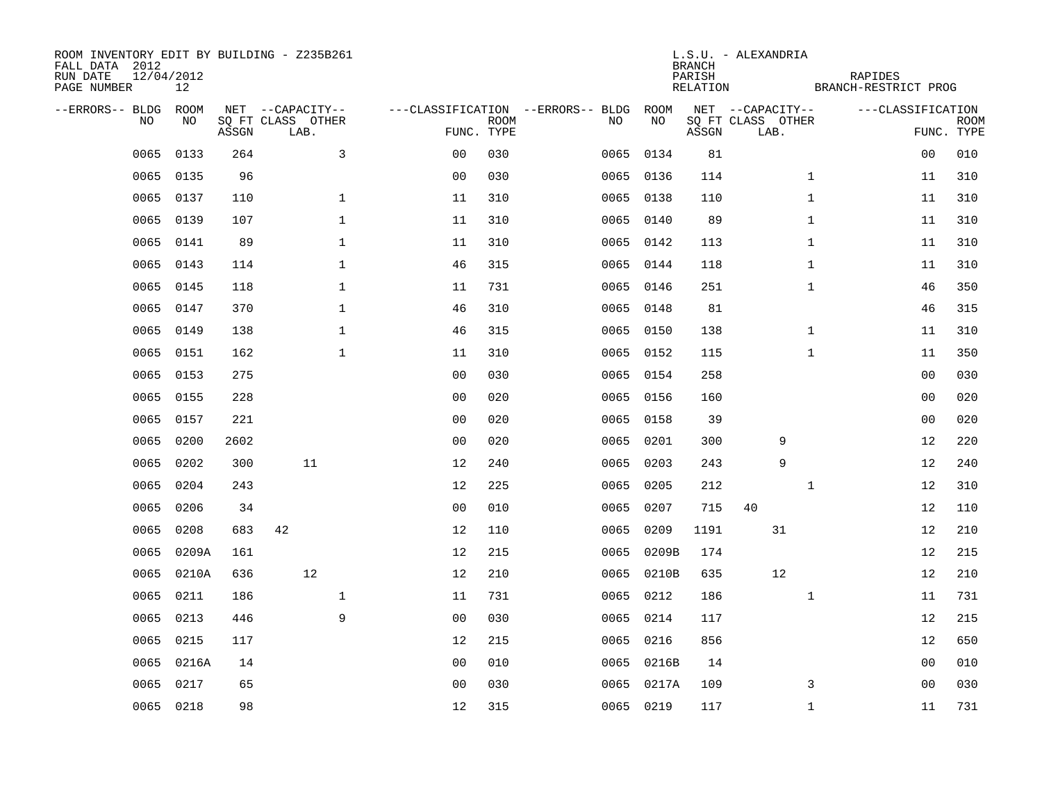| ROOM INVENTORY EDIT BY BUILDING - Z235B261<br>FALL DATA 2012<br>RUN DATE<br>PAGE NUMBER | 12/04/2012<br>12 |       |                                               |              |                |             |                                         |            |            | <b>BRANCH</b><br>PARISH<br>RELATION | L.S.U. - ALEXANDRIA                           | RAPIDES<br>BRANCH-RESTRICT PROG |                                 |             |
|-----------------------------------------------------------------------------------------|------------------|-------|-----------------------------------------------|--------------|----------------|-------------|-----------------------------------------|------------|------------|-------------------------------------|-----------------------------------------------|---------------------------------|---------------------------------|-------------|
| --ERRORS-- BLDG ROOM<br>NO                                                              | NO               | ASSGN | NET --CAPACITY--<br>SQ FT CLASS OTHER<br>LAB. |              | FUNC. TYPE     | <b>ROOM</b> | ---CLASSIFICATION --ERRORS-- BLDG<br>NO |            | ROOM<br>NO | ASSGN                               | NET --CAPACITY--<br>SQ FT CLASS OTHER<br>LAB. |                                 | ---CLASSIFICATION<br>FUNC. TYPE | <b>ROOM</b> |
| 0065                                                                                    | 0133             | 264   |                                               | $\mathbf{3}$ | 0 <sub>0</sub> | 030         | 0065                                    |            | 0134       | 81                                  |                                               |                                 | 0 <sub>0</sub>                  | 010         |
| 0065                                                                                    | 0135             | 96    |                                               |              | 0 <sub>0</sub> | 030         |                                         | 0065 0136  |            | 114                                 |                                               | $\mathbf{1}$                    | 11                              | 310         |
| 0065                                                                                    | 0137             | 110   |                                               | $\mathbf 1$  | 11             | 310         |                                         | 0065 0138  |            | 110                                 |                                               | $\mathbf{1}$                    | 11                              | 310         |
| 0065                                                                                    | 0139             | 107   |                                               | $\mathbf 1$  | 11             | 310         |                                         | 0065 0140  |            | 89                                  |                                               | $\mathbf{1}$                    | 11                              | 310         |
| 0065                                                                                    | 0141             | 89    |                                               | $\mathbf{1}$ | 11             | 310         |                                         | 0065 0142  |            | 113                                 |                                               | $\mathbf{1}$                    | 11                              | 310         |
| 0065                                                                                    | 0143             | 114   |                                               | $\mathbf 1$  | 46             | 315         |                                         | 0065 0144  |            | 118                                 |                                               | $\mathbf{1}$                    | 11                              | 310         |
| 0065                                                                                    | 0145             | 118   |                                               | $\mathbf{1}$ | 11             | 731         |                                         | 0065 0146  |            | 251                                 |                                               | $\mathbf{1}$                    | 46                              | 350         |
| 0065                                                                                    | 0147             | 370   |                                               | $\mathbf{1}$ | 46             | 310         |                                         | 0065 0148  |            | 81                                  |                                               |                                 | 46                              | 315         |
| 0065                                                                                    | 0149             | 138   |                                               | $\mathbf{1}$ | 46             | 315         |                                         | 0065 0150  |            | 138                                 |                                               | $\mathbf{1}$                    | 11                              | 310         |
| 0065                                                                                    | 0151             | 162   |                                               | $\mathbf{1}$ | 11             | 310         |                                         | 0065 0152  |            | 115                                 |                                               | $\mathbf{1}$                    | 11                              | 350         |
| 0065                                                                                    | 0153             | 275   |                                               |              | 0 <sub>0</sub> | 030         |                                         | 0065 0154  |            | 258                                 |                                               |                                 | 0 <sub>0</sub>                  | 030         |
| 0065                                                                                    | 0155             | 228   |                                               |              | 0 <sub>0</sub> | 020         |                                         | 0065 0156  |            | 160                                 |                                               |                                 | 0 <sub>0</sub>                  | 020         |
| 0065                                                                                    | 0157             | 221   |                                               |              | 0 <sub>0</sub> | 020         | 0065                                    |            | 0158       | 39                                  |                                               |                                 | 0 <sub>0</sub>                  | 020         |
| 0065                                                                                    | 0200             | 2602  |                                               |              | 0 <sub>0</sub> | 020         | 0065                                    |            | 0201       | 300                                 | 9                                             |                                 | 12                              | 220         |
| 0065                                                                                    | 0202             | 300   | 11                                            |              | 12             | 240         | 0065                                    |            | 0203       | 243                                 | 9                                             |                                 | 12                              | 240         |
| 0065                                                                                    | 0204             | 243   |                                               |              | 12             | 225         | 0065                                    |            | 0205       | 212                                 |                                               | $\mathbf{1}$                    | 12                              | 310         |
| 0065                                                                                    | 0206             | 34    |                                               |              | 0 <sub>0</sub> | 010         | 0065                                    |            | 0207       | 715                                 | 40                                            |                                 | 12                              | 110         |
| 0065                                                                                    | 0208             | 683   | 42                                            |              | 12             | 110         | 0065                                    |            | 0209       | 1191                                | 31                                            |                                 | 12                              | 210         |
| 0065                                                                                    | 0209A            | 161   |                                               |              | 12             | 215         |                                         | 0065 0209B |            | 174                                 |                                               |                                 | 12                              | 215         |
| 0065                                                                                    | 0210A            | 636   | 12                                            |              | 12             | 210         |                                         | 0065 0210B |            | 635                                 | 12                                            |                                 | 12                              | 210         |
| 0065                                                                                    | 0211             | 186   |                                               | $\mathbf{1}$ | 11             | 731         |                                         | 0065 0212  |            | 186                                 |                                               | $\mathbf{1}$                    | 11                              | 731         |
| 0065                                                                                    | 0213             | 446   |                                               | 9            | 0 <sub>0</sub> | 030         |                                         | 0065 0214  |            | 117                                 |                                               |                                 | 12                              | 215         |
| 0065                                                                                    | 0215             | 117   |                                               |              | 12             | 215         |                                         | 0065 0216  |            | 856                                 |                                               |                                 | 12                              | 650         |
| 0065                                                                                    | 0216A            | 14    |                                               |              | 0 <sub>0</sub> | 010         |                                         | 0065 0216B |            | 14                                  |                                               |                                 | 0 <sub>0</sub>                  | 010         |
| 0065                                                                                    | 0217             | 65    |                                               |              | 0 <sub>0</sub> | 030         |                                         | 0065 0217A |            | 109                                 |                                               | 3                               | 0 <sub>0</sub>                  | 030         |
|                                                                                         | 0065 0218        | 98    |                                               |              | 12             | 315         |                                         | 0065 0219  |            | 117                                 |                                               | $\mathbf{1}$                    | 11                              | 731         |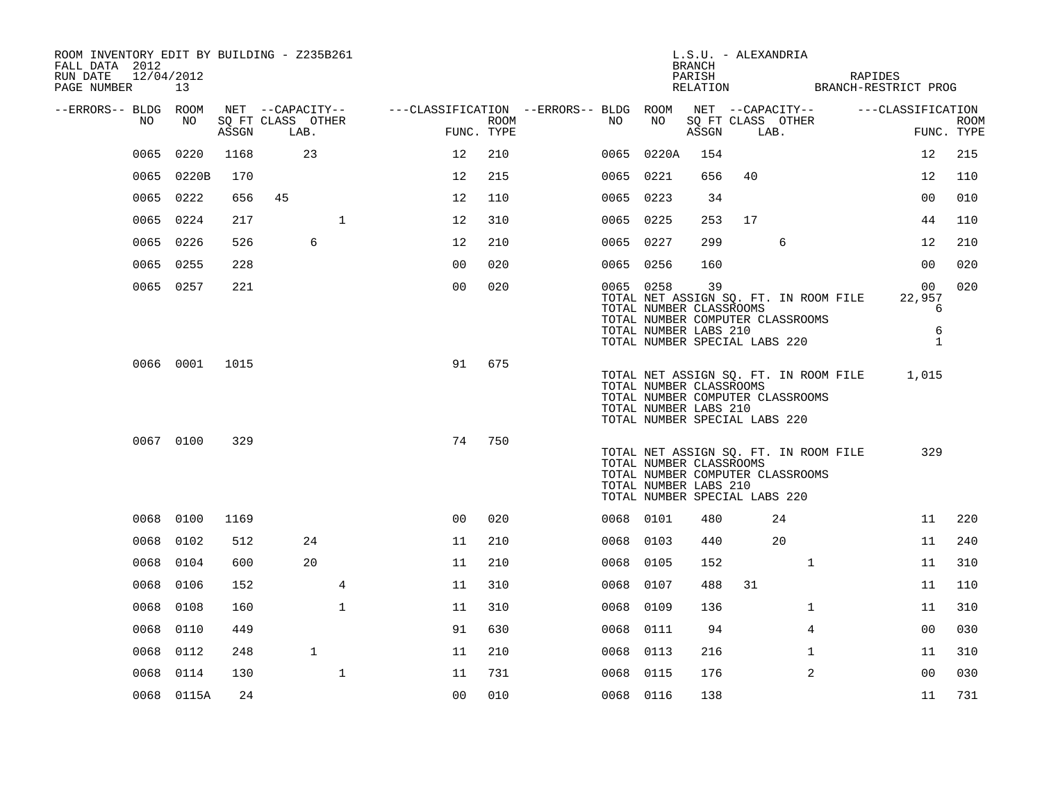| ROOM INVENTORY EDIT BY BUILDING - Z235B261<br>FALL DATA 2012<br>RUN DATE<br>12/04/2012<br>PAGE NUMBER 13 |                |       |                           |              |                                                         |                    |           |                                                                                   | L.S.U. - ALEXANDRIA<br><b>BRANCH</b><br>PARISH |      |                                                                           | RAPIDES<br>RELATION BRANCH-RESTRICT PROG |                           |
|----------------------------------------------------------------------------------------------------------|----------------|-------|---------------------------|--------------|---------------------------------------------------------|--------------------|-----------|-----------------------------------------------------------------------------------|------------------------------------------------|------|---------------------------------------------------------------------------|------------------------------------------|---------------------------|
| --ERRORS-- BLDG ROOM                                                                                     |                |       | NET --CAPACITY--          |              | ---CLASSIFICATION --ERRORS-- BLDG ROOM NET --CAPACITY-- |                    |           |                                                                                   |                                                |      |                                                                           | ---CLASSIFICATION                        |                           |
| NO                                                                                                       | NO             | ASSGN | SQ FT CLASS OTHER<br>LAB. |              |                                                         | ROOM<br>FUNC. TYPE | NO        | NO                                                                                | ASSGN                                          | LAB. | SQ FT CLASS OTHER                                                         |                                          | <b>ROOM</b><br>FUNC. TYPE |
| 0065                                                                                                     | 0220           | 1168  | 23                        |              | 12                                                      | 210                |           | 0065 0220A                                                                        | 154                                            |      |                                                                           | 12                                       | 215                       |
|                                                                                                          | 0065 0220B     | 170   |                           |              | 12                                                      | 215                | 0065 0221 |                                                                                   | 656                                            | 40   |                                                                           | 12                                       | 110                       |
|                                                                                                          | 0065 0222      | 656   | 45                        |              | 12                                                      | 110                | 0065 0223 |                                                                                   | 34                                             |      |                                                                           | 0 <sub>0</sub>                           | 010                       |
| 0065                                                                                                     | 0224           | 217   |                           | $\mathbf 1$  | 12                                                      | 310                | 0065 0225 |                                                                                   | 253                                            | 17   |                                                                           | 44                                       | 110                       |
|                                                                                                          | 0065 0226      | 526   | 6                         |              | 12                                                      | 210                | 0065 0227 |                                                                                   | 299                                            |      | 6                                                                         | 12                                       | 210                       |
|                                                                                                          | 0065 0255      | 228   |                           |              | 0 <sub>0</sub>                                          | 020                | 0065 0256 |                                                                                   | 160                                            |      |                                                                           | 0 <sub>0</sub>                           | 020                       |
|                                                                                                          | 0065 0257      | 221   |                           |              | 0 <sub>0</sub>                                          | 020                | 0065 0258 | TOTAL NUMBER CLASSROOMS<br>TOTAL NUMBER LABS 210<br>TOTAL NUMBER SPECIAL LABS 220 | 39                                             |      | TOTAL NET ASSIGN SQ. FT. IN ROOM FILE<br>TOTAL NUMBER COMPUTER CLASSROOMS | 00<br>22,957<br>6<br>6<br>$\mathbf{1}$   | 020                       |
|                                                                                                          | 0066 0001 1015 |       |                           |              | 91                                                      | 675                |           | TOTAL NUMBER CLASSROOMS<br>TOTAL NUMBER LABS 210<br>TOTAL NUMBER SPECIAL LABS 220 |                                                |      | TOTAL NET ASSIGN SQ. FT. IN ROOM FILE<br>TOTAL NUMBER COMPUTER CLASSROOMS | 1,015                                    |                           |
|                                                                                                          | 0067 0100      | 329   |                           |              | 74                                                      | 750                |           | TOTAL NUMBER CLASSROOMS<br>TOTAL NUMBER LABS 210<br>TOTAL NUMBER SPECIAL LABS 220 |                                                |      | TOTAL NET ASSIGN SQ. FT. IN ROOM FILE<br>TOTAL NUMBER COMPUTER CLASSROOMS | 329                                      |                           |
|                                                                                                          | 0068 0100      | 1169  |                           |              | 0 <sub>0</sub>                                          | 020                | 0068 0101 |                                                                                   | 480                                            |      | 24                                                                        | 11                                       | 220                       |
| 0068                                                                                                     | 0102           | 512   | 24                        |              | 11                                                      | 210                | 0068 0103 |                                                                                   | 440                                            |      | 20                                                                        | 11                                       | 240                       |
|                                                                                                          | 0068 0104      | 600   | 20                        |              | 11                                                      | 210                | 0068 0105 |                                                                                   | 152                                            |      | $\mathbf{1}$                                                              | 11                                       | 310                       |
| 0068                                                                                                     | 0106           | 152   |                           | 4            | 11                                                      | 310                | 0068 0107 |                                                                                   | 488                                            | 31   |                                                                           | 11                                       | 110                       |
| 0068                                                                                                     | 0108           | 160   |                           | $\mathbf{1}$ | 11                                                      | 310                | 0068      | 0109                                                                              | 136                                            |      | $\mathbf{1}$                                                              | 11                                       | 310                       |
| 0068                                                                                                     | 0110           | 449   |                           |              | 91                                                      | 630                | 0068 0111 |                                                                                   | 94                                             |      | $\overline{4}$                                                            | 0 <sub>0</sub>                           | 030                       |
| 0068                                                                                                     | 0112           | 248   | $\mathbf{1}$              |              | 11                                                      | 210                | 0068 0113 |                                                                                   | 216                                            |      | $\mathbf{1}$                                                              | 11                                       | 310                       |
| 0068                                                                                                     | 0114           | 130   |                           | $\mathbf 1$  | 11                                                      | 731                | 0068 0115 |                                                                                   | 176                                            |      | $\overline{2}$                                                            | 0 <sub>0</sub>                           | 030                       |
|                                                                                                          | 0068 0115A     | 24    |                           |              | 0 <sub>0</sub>                                          | 010                | 0068 0116 |                                                                                   | 138                                            |      |                                                                           | 11                                       | 731                       |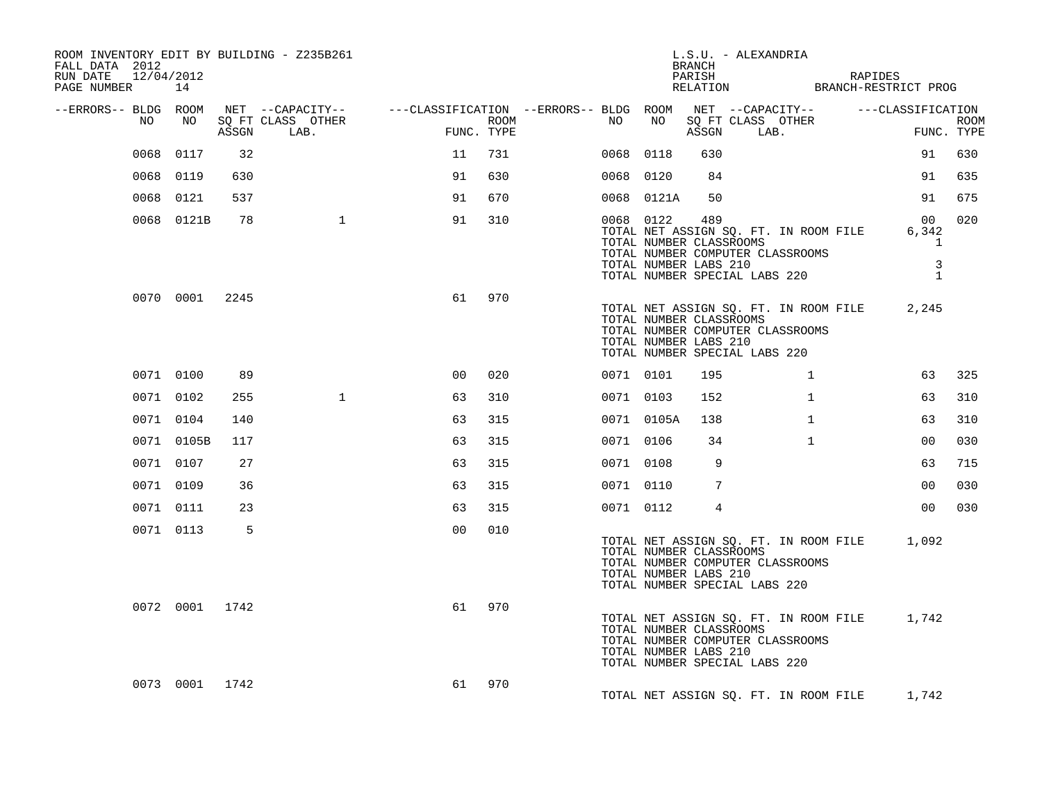| ROOM INVENTORY EDIT BY BUILDING - Z235B261<br>FALL DATA 2012<br>RUN DATE 12/04/2012<br>PAGE NUMBER 14 |                |       |              |                |     |           |            | BRANCH<br>PARISH                                        | L.S.U. - ALEXANDRIA<br>RELATION BRANCH-RESTRICT PROG                                                             | RAPIDES                                                      |     |
|-------------------------------------------------------------------------------------------------------|----------------|-------|--------------|----------------|-----|-----------|------------|---------------------------------------------------------|------------------------------------------------------------------------------------------------------------------|--------------------------------------------------------------|-----|
| --ERRORS-- BLDG ROOM<br>NO                                                                            | NO NO          | ASSGN | LAB.         | FUNC. TYPE     |     |           |            |                                                         | ASSGN LAB.                                                                                                       | FUN<br>FUNC. TYPE                                            |     |
|                                                                                                       | 0068 0117      | 32    |              | 11             | 731 | 0068 0118 |            | 630                                                     |                                                                                                                  | 91                                                           | 630 |
|                                                                                                       | 0068 0119      | 630   |              | 91             | 630 | 0068 0120 |            | 84                                                      |                                                                                                                  | 91                                                           | 635 |
|                                                                                                       | 0068 0121      | 537   |              | 91             | 670 |           | 0068 0121A | 50                                                      |                                                                                                                  | 91                                                           | 675 |
|                                                                                                       | 0068 0121B     | 78    | 1            | 91             | 310 | 0068 0122 |            | 489<br>TOTAL NUMBER CLASSROOMS<br>TOTAL NUMBER LABS 210 | TOTAL NET ASSIGN SQ. FT. IN ROOM FILE<br>TOTAL NUMBER COMPUTER CLASSROOMS<br>TOTAL NUMBER SPECIAL LABS 220       | 0 <sub>0</sub><br>6,342<br>$\mathbf{1}$<br>3<br>$\mathbf{1}$ | 020 |
|                                                                                                       | 0070 0001 2245 |       |              | 61             | 970 |           |            | TOTAL NUMBER CLASSROOMS<br>TOTAL NUMBER LABS 210        | TOTAL NET ASSIGN SQ. FT. IN ROOM FILE 2,245<br>TOTAL NUMBER COMPUTER CLASSROOMS<br>TOTAL NUMBER SPECIAL LABS 220 |                                                              |     |
|                                                                                                       | 0071 0100      | 89    |              | 0 <sub>0</sub> | 020 | 0071 0101 |            | 195                                                     | $\mathbf{1}$                                                                                                     | 63                                                           | 325 |
|                                                                                                       | 0071 0102      | 255   | $\mathbf{1}$ | 63             | 310 | 0071 0103 |            | 152                                                     | $\mathbf{1}$                                                                                                     | 63                                                           | 310 |
|                                                                                                       | 0071 0104      | 140   |              | 63             | 315 |           | 0071 0105A | 138                                                     | $\mathbf{1}$                                                                                                     | 63                                                           | 310 |
|                                                                                                       | 0071 0105B     | 117   |              | 63             | 315 | 0071 0106 |            | 34                                                      | $\mathbf{1}$                                                                                                     | 0 <sub>0</sub>                                               | 030 |
|                                                                                                       | 0071 0107      | 27    |              | 63             | 315 | 0071 0108 |            | 9                                                       |                                                                                                                  | 63                                                           | 715 |
|                                                                                                       | 0071 0109      | 36    |              | 63             | 315 | 0071 0110 |            | 7                                                       |                                                                                                                  | 0 <sub>0</sub>                                               | 030 |
|                                                                                                       | 0071 0111      | 23    |              | 63             | 315 | 0071 0112 |            | 4                                                       |                                                                                                                  | 0 <sub>0</sub>                                               | 030 |
|                                                                                                       | 0071 0113      | 5     |              | 0 <sub>0</sub> | 010 |           |            | TOTAL NUMBER CLASSROOMS<br>TOTAL NUMBER LABS 210        | TOTAL NET ASSIGN SQ. FT. IN ROOM FILE 1,092<br>TOTAL NUMBER COMPUTER CLASSROOMS<br>TOTAL NUMBER SPECIAL LABS 220 |                                                              |     |
|                                                                                                       | 0072 0001 1742 |       |              | 61             | 970 |           |            | TOTAL NUMBER CLASSROOMS<br>TOTAL NUMBER LABS 210        | TOTAL NET ASSIGN SQ. FT. IN ROOM FILE 1,742<br>TOTAL NUMBER COMPUTER CLASSROOMS<br>TOTAL NUMBER SPECIAL LABS 220 |                                                              |     |
|                                                                                                       | 0073 0001 1742 |       |              | 61             | 970 |           |            |                                                         | TOTAL NET ASSIGN SQ. FT. IN ROOM FILE 1,742                                                                      |                                                              |     |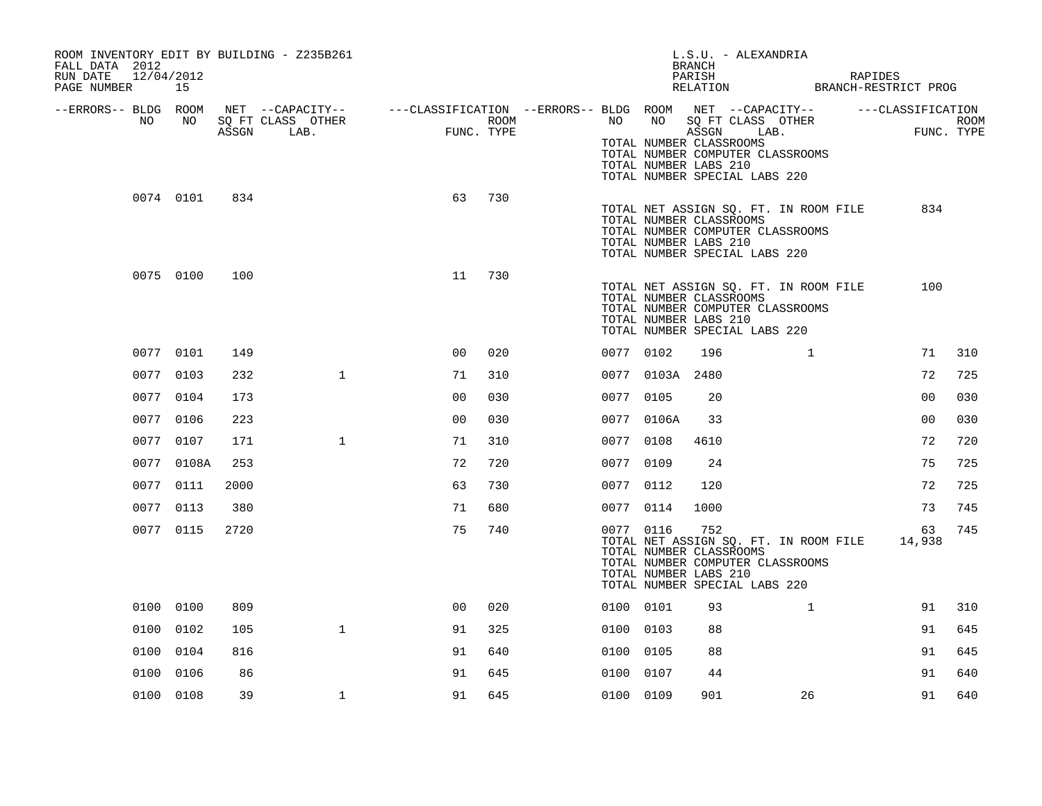| ROOM INVENTORY EDIT BY BUILDING - Z235B261<br>FALL DATA 2012<br>RUN DATE<br>12/04/2012<br>PAGE NUMBER | 15              |       |                                                                                                                             |                     |      |           |                 | L.S.U. - ALEXANDRIA<br><b>BRANCH</b><br>PARISH<br>PARISH RAPIDES<br>RELATION BRANCH-RESTRICT PROG                                                                     |              | RAPIDES |                |                    |
|-------------------------------------------------------------------------------------------------------|-----------------|-------|-----------------------------------------------------------------------------------------------------------------------------|---------------------|------|-----------|-----------------|-----------------------------------------------------------------------------------------------------------------------------------------------------------------------|--------------|---------|----------------|--------------------|
| --ERRORS-- BLDG ROOM<br>NO                                                                            | NO <sub>1</sub> | ASSGN | NET --CAPACITY-- - ---CLASSIFICATION --ERRORS-- BLDG ROOM NET --CAPACITY-- - ---CLASSIFICATION<br>SQ FT CLASS OTHER<br>LAB. | FUNC.<br>FUNC. TYPE | ROOM |           |                 | NO NO SQ FT CLASS OTHER<br>ASSGN LAB.<br>TOTAL NUMBER CLASSROOMS<br>TOTAL NUMBER COMPUTER CLASSROOMS<br>TOTAL NUMBER LABS 210<br>TOTAL NUMBER SPECIAL LABS 220        |              |         |                | ROOM<br>FUNC. TYPE |
|                                                                                                       | 0074 0101       | 834   |                                                                                                                             | 63                  | 730  |           |                 | TOTAL NET ASSIGN SQ. FT. IN ROOM FILE<br>TOTAL NUMBER CLASSROOMS<br>TOTAL NUMBER COMPUTER CLASSROOMS<br>TOTAL NUMBER LABS 210<br>TOTAL NUMBER SPECIAL LABS 220        |              |         | 834            |                    |
|                                                                                                       | 0075 0100       | 100   |                                                                                                                             | 11                  | 730  |           |                 | TOTAL NET ASSIGN SQ. FT. IN ROOM FILE<br>TOTAL NUMBER CLASSROOMS<br>TOTAL NUMBER COMPUTER CLASSROOMS<br>TOTAL NUMBER LABS 210<br>TOTAL NUMBER SPECIAL LABS 220        |              |         | 100            |                    |
|                                                                                                       | 0077 0101       | 149   |                                                                                                                             | 0 <sup>0</sup>      | 020  | 0077 0102 |                 | 196                                                                                                                                                                   | $\mathbf{1}$ |         | 71             | 310                |
|                                                                                                       | 0077 0103       | 232   | $\mathbf{1}$                                                                                                                | 71                  | 310  |           | 0077 0103A 2480 |                                                                                                                                                                       |              |         | 72             | 725                |
|                                                                                                       | 0077 0104       | 173   |                                                                                                                             | 00                  | 030  | 0077 0105 |                 | 20                                                                                                                                                                    |              |         | 0 <sub>0</sub> | 030                |
|                                                                                                       | 0077 0106       | 223   |                                                                                                                             | 0 <sub>0</sub>      | 030  |           | 0077 0106A      | 33                                                                                                                                                                    |              |         | 0 <sub>0</sub> | 030                |
|                                                                                                       | 0077 0107       | 171   | $\mathbf{1}$                                                                                                                | 71                  | 310  | 0077 0108 |                 | 4610                                                                                                                                                                  |              |         | 72             | 720                |
|                                                                                                       | 0077 0108A      | 253   |                                                                                                                             | 72                  | 720  | 0077 0109 |                 | 24                                                                                                                                                                    |              |         | 75             | 725                |
|                                                                                                       | 0077 0111       | 2000  |                                                                                                                             | 63                  | 730  | 0077 0112 |                 | 120                                                                                                                                                                   |              |         | 72             | 725                |
|                                                                                                       | 0077 0113       | 380   |                                                                                                                             | 71                  | 680  | 0077 0114 |                 | 1000                                                                                                                                                                  |              |         | 73             | 745                |
|                                                                                                       | 0077 0115       | 2720  |                                                                                                                             | 75                  | 740  | 0077 0116 |                 | 752<br>TOTAL NET ASSIGN SQ. FT. IN ROOM FILE<br>TOTAL NUMBER CLASSROOMS<br>TOTAL NUMBER COMPUTER CLASSROOMS<br>TOTAL NUMBER LABS 210<br>TOTAL NUMBER SPECIAL LABS 220 |              |         | 63<br>14,938   | 745                |
|                                                                                                       | 0100 0100       | 809   |                                                                                                                             | 0 <sub>0</sub>      | 020  | 0100 0101 |                 | 93                                                                                                                                                                    | $\mathbf{1}$ |         | 91             | 310                |
|                                                                                                       | 0100 0102       | 105   | $\mathbf{1}$                                                                                                                | 91                  | 325  | 0100 0103 |                 | 88                                                                                                                                                                    |              |         | 91             | 645                |
|                                                                                                       | 0100 0104       | 816   |                                                                                                                             | 91                  | 640  | 0100 0105 |                 | 88                                                                                                                                                                    |              |         | 91             | 645                |
|                                                                                                       | 0100 0106       | 86    |                                                                                                                             | 91                  | 645  | 0100 0107 |                 | 44                                                                                                                                                                    |              |         | 91             | 640                |
|                                                                                                       | 0100 0108       | 39    | $\mathbf{1}$                                                                                                                | 91                  | 645  | 0100 0109 |                 | 901                                                                                                                                                                   | 26           |         | 91             | 640                |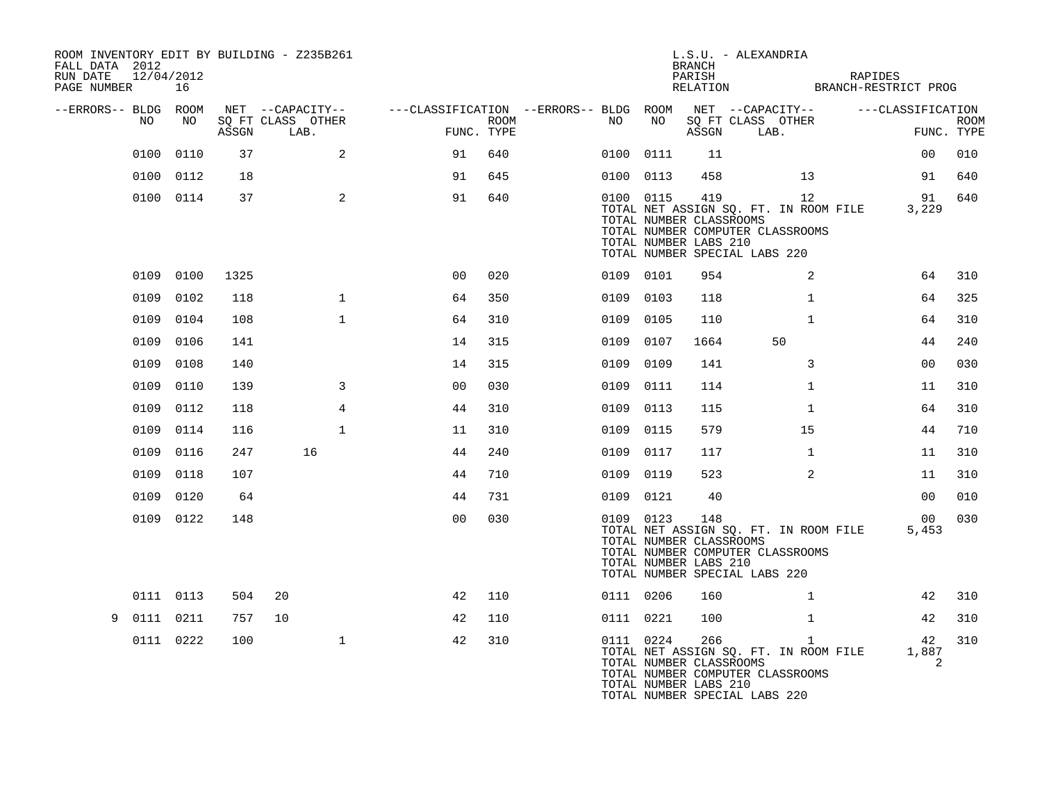| ROOM INVENTORY EDIT BY BUILDING - Z235B261<br>FALL DATA 2012<br>12/04/2012<br>RUN DATE<br>PAGE NUMBER 16 |           |       |                                               |                                                                       |             |           |           | <b>BRANCH</b><br>PARISH                                 | L.S.U. - ALEXANDRIA<br>PARISH RAPIDES<br>RELATION BRANCH-RESTRICT PROG                                                     | RAPIDES           |                           |
|----------------------------------------------------------------------------------------------------------|-----------|-------|-----------------------------------------------|-----------------------------------------------------------------------|-------------|-----------|-----------|---------------------------------------------------------|----------------------------------------------------------------------------------------------------------------------------|-------------------|---------------------------|
| --ERRORS-- BLDG ROOM<br>NO                                                                               | NO        | ASSGN | NET --CAPACITY--<br>SQ FT CLASS OTHER<br>LAB. | ---CLASSIFICATION --ERRORS-- BLDG ROOM NET --CAPACITY--<br>FUNC. TYPE | <b>ROOM</b> | NO        | NO        |                                                         | SQ FT CLASS OTHER<br>ASSGN LAB.                                                                                            | ---CLASSIFICATION | <b>ROOM</b><br>FUNC. TYPE |
|                                                                                                          | 0100 0110 | 37    | 2                                             | 91                                                                    | 640         |           | 0100 0111 | 11                                                      |                                                                                                                            | 00                | 010                       |
|                                                                                                          | 0100 0112 | 18    |                                               | 91                                                                    | 645         |           | 0100 0113 | 458                                                     | 13                                                                                                                         | 91                | 640                       |
|                                                                                                          | 0100 0114 | 37    | 2                                             | 91                                                                    | 640         | 0100 0115 |           | 419<br>TOTAL NUMBER CLASSROOMS<br>TOTAL NUMBER LABS 210 | 12<br>TOTAL NET ASSIGN SQ. FT. IN ROOM FILE<br>TOTAL NUMBER COMPUTER CLASSROOMS<br>TOTAL NUMBER SPECIAL LABS 220           | 91<br>3,229       | 640                       |
|                                                                                                          | 0109 0100 | 1325  |                                               | 0 <sup>0</sup>                                                        | 020         | 0109 0101 |           | 954                                                     | 2                                                                                                                          | 64                | 310                       |
|                                                                                                          | 0109 0102 | 118   | $\mathbf{1}$                                  | 64                                                                    | 350         | 0109 0103 |           | 118                                                     | $\mathbf{1}$                                                                                                               | 64                | 325                       |
| 0109                                                                                                     | 0104      | 108   | $\mathbf{1}$                                  | 64                                                                    | 310         | 0109 0105 |           | 110                                                     | $\mathbf{1}$                                                                                                               | 64                | 310                       |
| 0109                                                                                                     | 0106      | 141   |                                               | 14                                                                    | 315         | 0109 0107 |           | 1664                                                    | 50                                                                                                                         | 44                | 240                       |
| 0109                                                                                                     | 0108      | 140   |                                               | 14                                                                    | 315         | 0109 0109 |           | 141                                                     | 3                                                                                                                          | 0 <sub>0</sub>    | 030                       |
| 0109                                                                                                     | 0110      | 139   | $\mathbf{3}$                                  | 0 <sub>0</sub>                                                        | 030         | 0109 0111 |           | 114                                                     | $\mathbf{1}$                                                                                                               | 11                | 310                       |
| 0109                                                                                                     | 0112      | 118   | $\overline{4}$                                | 44                                                                    | 310         | 0109 0113 |           | 115                                                     | $\mathbf{1}$                                                                                                               | 64                | 310                       |
| 0109                                                                                                     | 0114      | 116   | $\mathbf 1$                                   | 11                                                                    | 310         | 0109 0115 |           | 579                                                     | 15                                                                                                                         | 44                | 710                       |
|                                                                                                          | 0109 0116 | 247   | 16                                            | 44                                                                    | 240         | 0109 0117 |           | 117                                                     | $\mathbf{1}$                                                                                                               | 11                | 310                       |
|                                                                                                          | 0109 0118 | 107   |                                               | 44                                                                    | 710         | 0109 0119 |           | 523                                                     | $\overline{2}$                                                                                                             | 11                | 310                       |
|                                                                                                          | 0109 0120 | 64    |                                               | 44                                                                    | 731         | 0109 0121 |           | 40                                                      |                                                                                                                            | 0 <sub>0</sub>    | 010                       |
|                                                                                                          | 0109 0122 | 148   |                                               | 0 <sub>0</sub>                                                        | 030         | 0109 0123 |           | 148<br>TOTAL NUMBER CLASSROOMS<br>TOTAL NUMBER LABS 210 | TOTAL NET ASSIGN SQ. FT. IN ROOM FILE<br>TOTAL NUMBER COMPUTER CLASSROOMS<br>TOTAL NUMBER SPECIAL LABS 220                 | 00<br>5,453       | 030                       |
|                                                                                                          | 0111 0113 | 504   | 20                                            | 42                                                                    | 110         | 0111 0206 |           | 160                                                     | $\mathbf{1}$                                                                                                               | 42                | 310                       |
| 9 0111 0211                                                                                              |           | 757   | 10                                            | 42                                                                    | 110         | 0111 0221 |           | 100                                                     | $\mathbf{1}$                                                                                                               | 42                | 310                       |
|                                                                                                          | 0111 0222 | 100   | $\mathbf{1}$                                  | 42                                                                    | 310         |           | 0111 0224 | 266<br>TOTAL NUMBER CLASSROOMS<br>TOTAL NUMBER LABS 210 | $\mathbf{1}$<br>TOTAL NET ASSIGN SQ. FT. IN ROOM FILE<br>TOTAL NUMBER COMPUTER CLASSROOMS<br>TOTAL NUMBER SPECIAL LABS 220 | 42<br>1,887<br>2  | 310                       |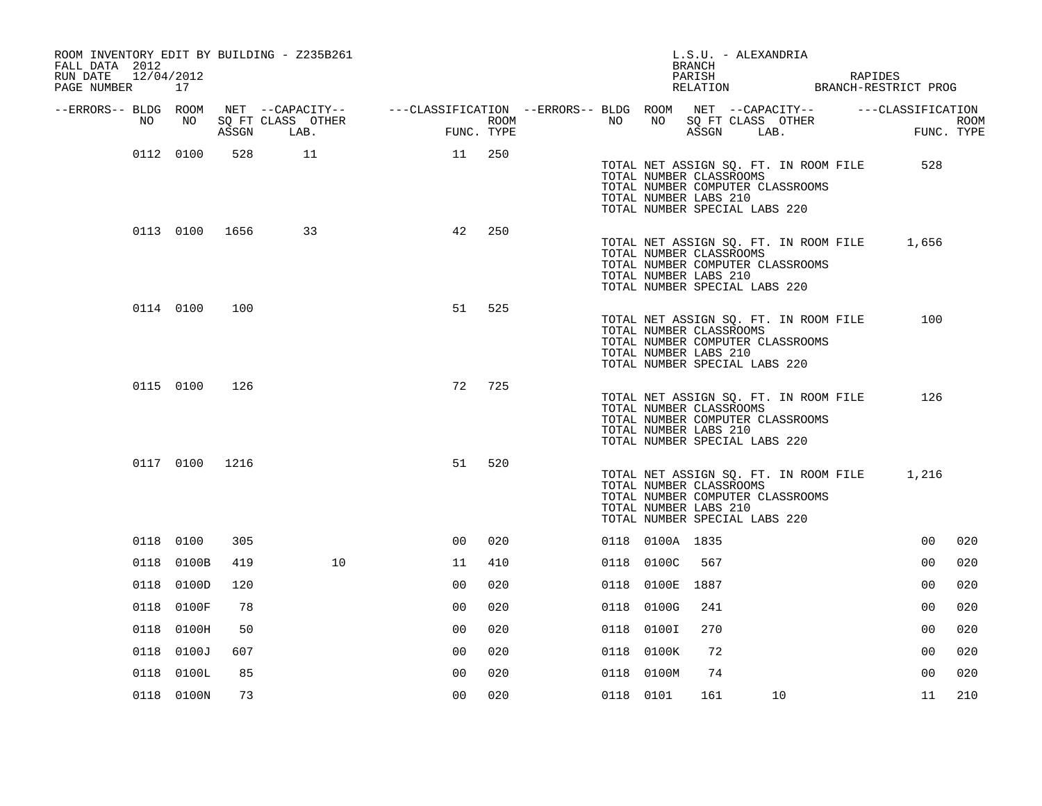| ROOM INVENTORY EDIT BY BUILDING - Z235B261<br>FALL DATA 2012<br>RUN DATE<br>12/04/2012<br>PAGE NUMBER 17 |                |       |                                                                                                                             |                    |     |                  |           |                 | L.S.U. - ALEXANDRIA<br>BRANCH                                                     |                                                                           | PARISH RAPIDES RELATION BRANCH-RESTRICT PROG |                    |
|----------------------------------------------------------------------------------------------------------|----------------|-------|-----------------------------------------------------------------------------------------------------------------------------|--------------------|-----|------------------|-----------|-----------------|-----------------------------------------------------------------------------------|---------------------------------------------------------------------------|----------------------------------------------|--------------------|
| --ERRORS-- BLDG ROOM<br>NO                                                                               | NO             | ASSGN | NET --CAPACITY-- - ---CLASSIFICATION --ERRORS-- BLDG ROOM NET --CAPACITY-- - ---CLASSIFICATION<br>SQ FT CLASS OTHER<br>LAB. | FIMC<br>FUNC. TYPE |     | ROOM <b>ROOM</b> |           |                 | ASSGN LAB.                                                                        | NO NO SQ FT CLASS OTHER                                                   | <b>FUN</b>                                   | ROOM<br>FUNC. TYPE |
|                                                                                                          | 0112 0100      |       | 528 11                                                                                                                      | 11 250             |     |                  |           |                 | TOTAL NUMBER CLASSROOMS<br>TOTAL NUMBER LABS 210<br>TOTAL NUMBER SPECIAL LABS 220 | TOTAL NUMBER COMPUTER CLASSROOMS                                          | 528<br>TOTAL NET ASSIGN SQ. FT. IN ROOM FILE |                    |
|                                                                                                          |                |       | 0113 0100 1656 33                                                                                                           | 42                 | 250 |                  |           |                 | TOTAL NUMBER CLASSROOMS<br>TOTAL NUMBER LABS 210<br>TOTAL NUMBER SPECIAL LABS 220 | TOTAL NUMBER COMPUTER CLASSROOMS                                          | TOTAL NET ASSIGN SQ. FT. IN ROOM FILE 1,656  |                    |
|                                                                                                          | 0114 0100      | 100   |                                                                                                                             | 51                 | 525 |                  |           |                 | TOTAL NUMBER CLASSROOMS<br>TOTAL NUMBER LABS 210<br>TOTAL NUMBER SPECIAL LABS 220 | TOTAL NET ASSIGN SQ. FT. IN ROOM FILE<br>TOTAL NUMBER COMPUTER CLASSROOMS | 100                                          |                    |
|                                                                                                          | 0115 0100      | 126   |                                                                                                                             | 72                 | 725 |                  |           |                 | TOTAL NUMBER CLASSROOMS<br>TOTAL NUMBER LABS 210<br>TOTAL NUMBER SPECIAL LABS 220 | TOTAL NUMBER COMPUTER CLASSROOMS                                          | 126<br>TOTAL NET ASSIGN SQ. FT. IN ROOM FILE |                    |
|                                                                                                          | 0117 0100 1216 |       |                                                                                                                             | 51                 | 520 |                  |           |                 | TOTAL NUMBER CLASSROOMS<br>TOTAL NUMBER LABS 210<br>TOTAL NUMBER SPECIAL LABS 220 | TOTAL NET ASSIGN SQ. FT. IN ROOM FILE<br>TOTAL NUMBER COMPUTER CLASSROOMS | 1,216                                        |                    |
|                                                                                                          | 0118 0100      | 305   |                                                                                                                             | 00                 | 020 |                  |           | 0118 0100A 1835 |                                                                                   |                                                                           | 0 <sub>0</sub>                               | 020                |
|                                                                                                          | 0118 0100B     | 419   | 10                                                                                                                          | 11                 | 410 |                  |           | 0118 0100C      | 567                                                                               |                                                                           | 0 <sub>0</sub>                               | 020                |
|                                                                                                          | 0118 0100D     | 120   |                                                                                                                             | 0 <sup>0</sup>     | 020 |                  |           | 0118 0100E 1887 |                                                                                   |                                                                           | 0 <sub>0</sub>                               | 020                |
|                                                                                                          | 0118 0100F     | 78    |                                                                                                                             | 0 <sub>0</sub>     | 020 |                  |           | 0118 0100G      | 241                                                                               |                                                                           | 0 <sub>0</sub>                               | 020                |
|                                                                                                          | 0118 0100H     | 50    |                                                                                                                             | 0 <sub>0</sub>     | 020 |                  |           | 0118 0100I      | 270                                                                               |                                                                           | 0 <sub>0</sub>                               | 020                |
|                                                                                                          | 0118 0100J     | 607   |                                                                                                                             | 0 <sub>0</sub>     | 020 |                  |           | 0118 0100K      | 72                                                                                |                                                                           | 0 <sub>0</sub>                               | 020                |
|                                                                                                          | 0118 0100L     | 85    |                                                                                                                             | 0 <sub>0</sub>     | 020 |                  |           | 0118 0100M      | 74                                                                                |                                                                           | 0 <sub>0</sub>                               | 020                |
|                                                                                                          | 0118 0100N     | 73    |                                                                                                                             | 0 <sub>0</sub>     | 020 |                  | 0118 0101 |                 | 161                                                                               | 10                                                                        | 11                                           | 210                |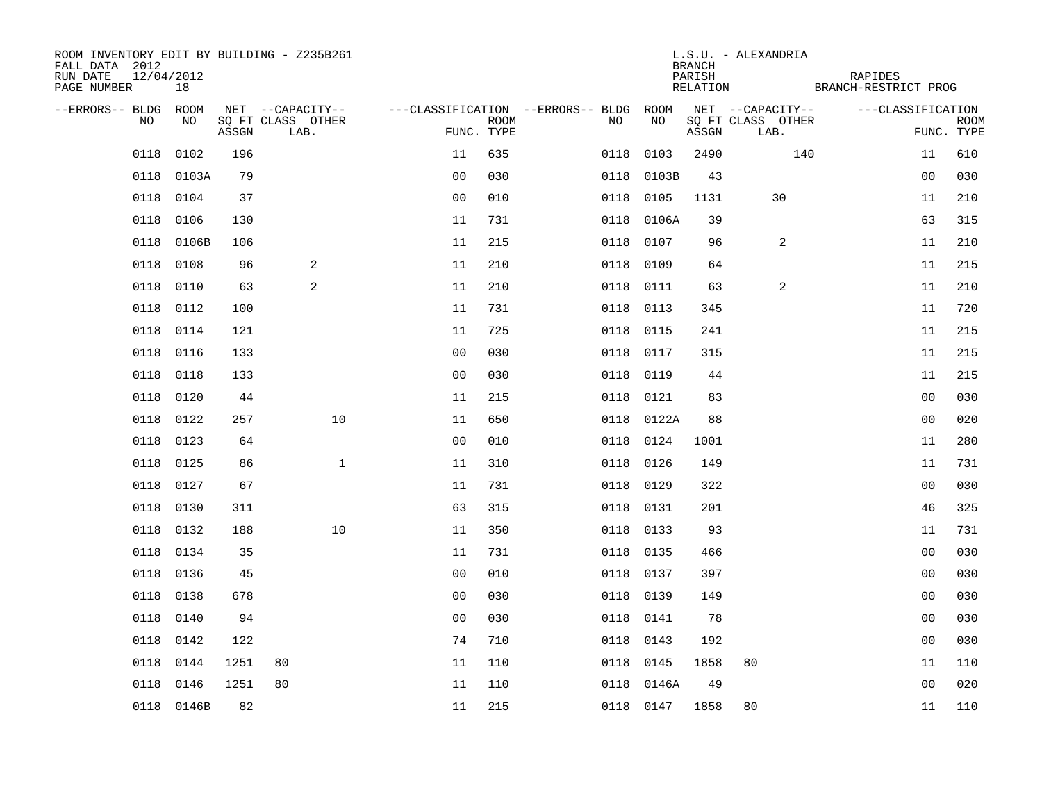| ROOM INVENTORY EDIT BY BUILDING - Z235B261<br>FALL DATA 2012<br>RUN DATE<br>PAGE NUMBER | 12/04/2012<br>18 |       |                           |                |             |                                        |            | BRANCH<br>PARISH<br>RELATION | L.S.U. - ALEXANDRIA       | RAPIDES<br>BRANCH-RESTRICT PROG |                           |
|-----------------------------------------------------------------------------------------|------------------|-------|---------------------------|----------------|-------------|----------------------------------------|------------|------------------------------|---------------------------|---------------------------------|---------------------------|
| --ERRORS-- BLDG ROOM                                                                    |                  |       | NET --CAPACITY--          |                |             | ---CLASSIFICATION --ERRORS-- BLDG ROOM |            |                              | NET --CAPACITY--          | ---CLASSIFICATION               |                           |
| NO                                                                                      | NO               | ASSGN | SQ FT CLASS OTHER<br>LAB. | FUNC. TYPE     | <b>ROOM</b> | NO                                     | NO         | ASSGN                        | SQ FT CLASS OTHER<br>LAB. |                                 | <b>ROOM</b><br>FUNC. TYPE |
| 0118                                                                                    | 0102             | 196   |                           | 11             | 635         | 0118                                   | 0103       | 2490                         | 140                       | 11                              | 610                       |
|                                                                                         | 0118 0103A       | 79    |                           | 0 <sub>0</sub> | 030         |                                        | 0118 0103B | 43                           |                           | 0 <sub>0</sub>                  | 030                       |
|                                                                                         | 0118 0104        | 37    |                           | 0 <sub>0</sub> | 010         |                                        | 0118 0105  | 1131                         | 30                        | 11                              | 210                       |
| 0118                                                                                    | 0106             | 130   |                           | 11             | 731         |                                        | 0118 0106A | 39                           |                           | 63                              | 315                       |
| 0118                                                                                    | 0106B            | 106   |                           | 11             | 215         |                                        | 0118 0107  | 96                           | 2                         | 11                              | 210                       |
| 0118                                                                                    | 0108             | 96    | 2                         | 11             | 210         |                                        | 0118 0109  | 64                           |                           | 11                              | 215                       |
| 0118                                                                                    | 0110             | 63    | 2                         | 11             | 210         |                                        | 0118 0111  | 63                           | $\overline{a}$            | 11                              | 210                       |
| 0118                                                                                    | 0112             | 100   |                           | 11             | 731         |                                        | 0118 0113  | 345                          |                           | 11                              | 720                       |
| 0118                                                                                    | 0114             | 121   |                           | 11             | 725         |                                        | 0118 0115  | 241                          |                           | 11                              | 215                       |
| 0118                                                                                    | 0116             | 133   |                           | 0 <sub>0</sub> | 030         |                                        | 0118 0117  | 315                          |                           | 11                              | 215                       |
| 0118                                                                                    | 0118             | 133   |                           | 0 <sub>0</sub> | 030         |                                        | 0118 0119  | 44                           |                           | 11                              | 215                       |
| 0118                                                                                    | 0120             | 44    |                           | 11             | 215         |                                        | 0118 0121  | 83                           |                           | 0 <sub>0</sub>                  | 030                       |
| 0118                                                                                    | 0122             | 257   | 10                        | 11             | 650         |                                        | 0118 0122A | 88                           |                           | 0 <sub>0</sub>                  | 020                       |
| 0118                                                                                    | 0123             | 64    |                           | 0 <sub>0</sub> | 010         |                                        | 0118 0124  | 1001                         |                           | 11                              | 280                       |
| 0118                                                                                    | 0125             | 86    | $\mathbf{1}$              | 11             | 310         |                                        | 0118 0126  | 149                          |                           | 11                              | 731                       |
| 0118                                                                                    | 0127             | 67    |                           | 11             | 731         |                                        | 0118 0129  | 322                          |                           | 0 <sub>0</sub>                  | 030                       |
| 0118                                                                                    | 0130             | 311   |                           | 63             | 315         |                                        | 0118 0131  | 201                          |                           | 46                              | 325                       |
| 0118                                                                                    | 0132             | 188   | 10                        | 11             | 350         |                                        | 0118 0133  | 93                           |                           | 11                              | 731                       |
|                                                                                         | 0118 0134        | 35    |                           | 11             | 731         |                                        | 0118 0135  | 466                          |                           | 0 <sub>0</sub>                  | 030                       |
| 0118                                                                                    | 0136             | 45    |                           | 0 <sub>0</sub> | 010         |                                        | 0118 0137  | 397                          |                           | 0 <sub>0</sub>                  | 030                       |
| 0118                                                                                    | 0138             | 678   |                           | 0 <sub>0</sub> | 030         |                                        | 0118 0139  | 149                          |                           | 00                              | 030                       |
| 0118                                                                                    | 0140             | 94    |                           | 0 <sub>0</sub> | 030         |                                        | 0118 0141  | 78                           |                           | 0 <sub>0</sub>                  | 030                       |
| 0118                                                                                    | 0142             | 122   |                           | 74             | 710         |                                        | 0118 0143  | 192                          |                           | 0 <sub>0</sub>                  | 030                       |
| 0118                                                                                    | 0144             | 1251  | 80                        | 11             | 110         |                                        | 0118 0145  | 1858                         | 80                        | 11                              | 110                       |
| 0118                                                                                    | 0146             | 1251  | 80                        | 11             | 110         |                                        | 0118 0146A | 49                           |                           | 0 <sub>0</sub>                  | 020                       |
|                                                                                         | 0118 0146B       | 82    |                           | 11             | 215         |                                        | 0118 0147  | 1858                         | 80                        | 11                              | 110                       |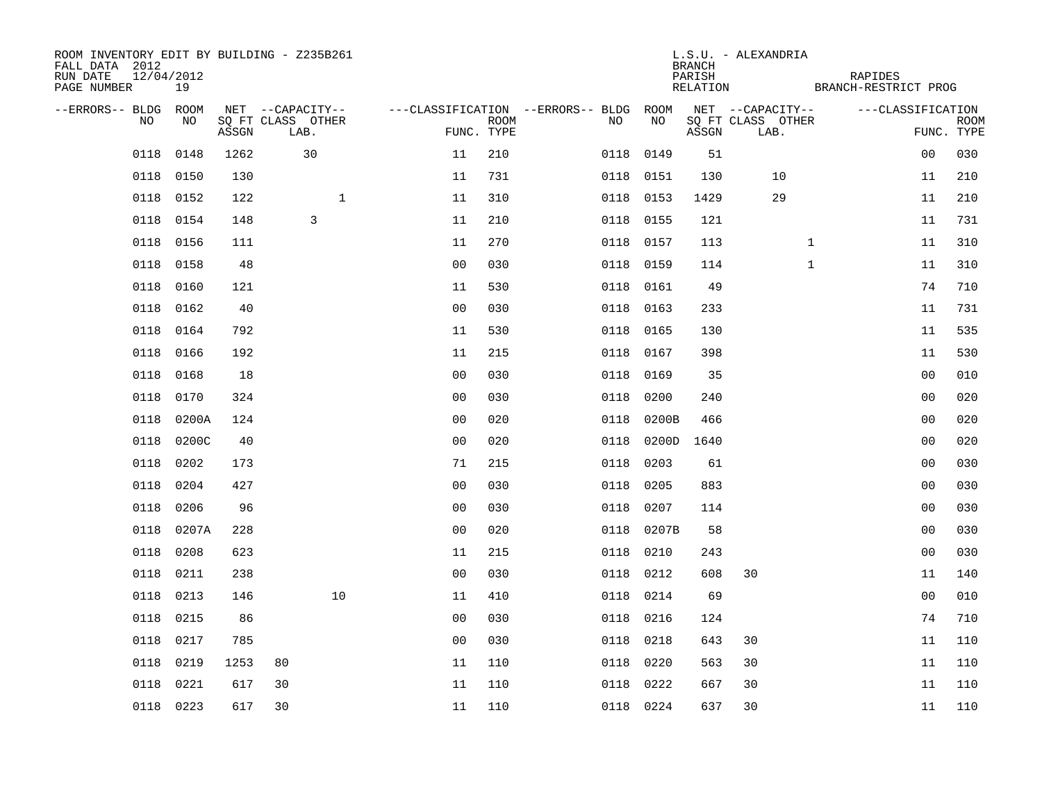| ROOM INVENTORY EDIT BY BUILDING - Z235B261<br>FALL DATA 2012<br>RUN DATE<br>12/04/2012<br>PAGE NUMBER | 19        |       |                           |                |                    |                                        |            | <b>BRANCH</b><br>PARISH<br>RELATION | L.S.U. - ALEXANDRIA       | RAPIDES<br>BRANCH-RESTRICT PROG |                   |                           |
|-------------------------------------------------------------------------------------------------------|-----------|-------|---------------------------|----------------|--------------------|----------------------------------------|------------|-------------------------------------|---------------------------|---------------------------------|-------------------|---------------------------|
| --ERRORS-- BLDG ROOM                                                                                  |           |       | NET --CAPACITY--          |                |                    | ---CLASSIFICATION --ERRORS-- BLDG ROOM |            |                                     | NET --CAPACITY--          |                                 | ---CLASSIFICATION |                           |
| NO.                                                                                                   | NO.       | ASSGN | SO FT CLASS OTHER<br>LAB. |                | ROOM<br>FUNC. TYPE | NO.                                    | <b>NO</b>  | ASSGN                               | SQ FT CLASS OTHER<br>LAB. |                                 |                   | <b>ROOM</b><br>FUNC. TYPE |
| 0118                                                                                                  | 0148      | 1262  | 30                        | 11             | 210                | 0118                                   | 0149       | 51                                  |                           |                                 | 0 <sub>0</sub>    | 030                       |
| 0118                                                                                                  | 0150      | 130   |                           | 11             | 731                |                                        | 0118 0151  | 130                                 | 10                        |                                 | 11                | 210                       |
| 0118                                                                                                  | 0152      | 122   | $\mathbf{1}$              | 11             | 310                | 0118                                   | 0153       | 1429                                | 29                        |                                 | 11                | 210                       |
| 0118                                                                                                  | 0154      | 148   | 3                         | 11             | 210                |                                        | 0118 0155  | 121                                 |                           |                                 | 11                | 731                       |
| 0118                                                                                                  | 0156      | 111   |                           | 11             | 270                |                                        | 0118 0157  | 113                                 |                           | $\mathbf{1}$                    | 11                | 310                       |
| 0118                                                                                                  | 0158      | 48    |                           | 0 <sub>0</sub> | 030                |                                        | 0118 0159  | 114                                 |                           | $\mathbf{1}$                    | 11                | 310                       |
| 0118                                                                                                  | 0160      | 121   |                           | 11             | 530                | 0118                                   | 0161       | 49                                  |                           |                                 | 74                | 710                       |
| 0118                                                                                                  | 0162      | 40    |                           | 0 <sub>0</sub> | 030                |                                        | 0118 0163  | 233                                 |                           |                                 | 11                | 731                       |
| 0118                                                                                                  | 0164      | 792   |                           | 11             | 530                | 0118                                   | 0165       | 130                                 |                           |                                 | 11                | 535                       |
| 0118                                                                                                  | 0166      | 192   |                           | 11             | 215                |                                        | 0118 0167  | 398                                 |                           |                                 | 11                | 530                       |
| 0118                                                                                                  | 0168      | 18    |                           | 0 <sub>0</sub> | 030                | 0118                                   | 0169       | 35                                  |                           |                                 | 0 <sub>0</sub>    | 010                       |
| 0118                                                                                                  | 0170      | 324   |                           | 0 <sub>0</sub> | 030                | 0118                                   | 0200       | 240                                 |                           |                                 | 0 <sub>0</sub>    | 020                       |
| 0118                                                                                                  | 0200A     | 124   |                           | 0 <sub>0</sub> | 020                | 0118                                   | 0200B      | 466                                 |                           |                                 | 00                | 020                       |
| 0118                                                                                                  | 0200C     | 40    |                           | 0 <sub>0</sub> | 020                | 0118                                   | 0200D      | 1640                                |                           |                                 | 00                | 020                       |
| 0118                                                                                                  | 0202      | 173   |                           | 71             | 215                | 0118                                   | 0203       | 61                                  |                           |                                 | 0 <sub>0</sub>    | 030                       |
| 0118                                                                                                  | 0204      | 427   |                           | 0 <sub>0</sub> | 030                | 0118                                   | 0205       | 883                                 |                           |                                 | 0 <sub>0</sub>    | 030                       |
| 0118                                                                                                  | 0206      | 96    |                           | 0 <sub>0</sub> | 030                | 0118                                   | 0207       | 114                                 |                           |                                 | 0 <sub>0</sub>    | 030                       |
| 0118                                                                                                  | 0207A     | 228   |                           | 0 <sub>0</sub> | 020                |                                        | 0118 0207B | 58                                  |                           |                                 | 00                | 030                       |
| 0118                                                                                                  | 0208      | 623   |                           | 11             | 215                |                                        | 0118 0210  | 243                                 |                           |                                 | 0 <sub>0</sub>    | 030                       |
| 0118                                                                                                  | 0211      | 238   |                           | 0 <sub>0</sub> | 030                | 0118                                   | 0212       | 608                                 | 30                        |                                 | 11                | 140                       |
| 0118                                                                                                  | 0213      | 146   | 10                        | 11             | 410                |                                        | 0118 0214  | 69                                  |                           |                                 | 0 <sub>0</sub>    | 010                       |
| 0118                                                                                                  | 0215      | 86    |                           | 0 <sub>0</sub> | 030                | 0118                                   | 0216       | 124                                 |                           |                                 | 74                | 710                       |
| 0118                                                                                                  | 0217      | 785   |                           | 0 <sub>0</sub> | 030                |                                        | 0118 0218  | 643                                 | 30                        |                                 | 11                | 110                       |
| 0118                                                                                                  | 0219      | 1253  | 80                        | 11             | 110                | 0118                                   | 0220       | 563                                 | 30                        |                                 | 11                | 110                       |
| 0118                                                                                                  | 0221      | 617   | 30                        | 11             | 110                | 0118                                   | 0222       | 667                                 | 30                        |                                 | 11                | 110                       |
|                                                                                                       | 0118 0223 | 617   | 30                        | 11             | 110                |                                        | 0118 0224  | 637                                 | 30                        |                                 | 11                | 110                       |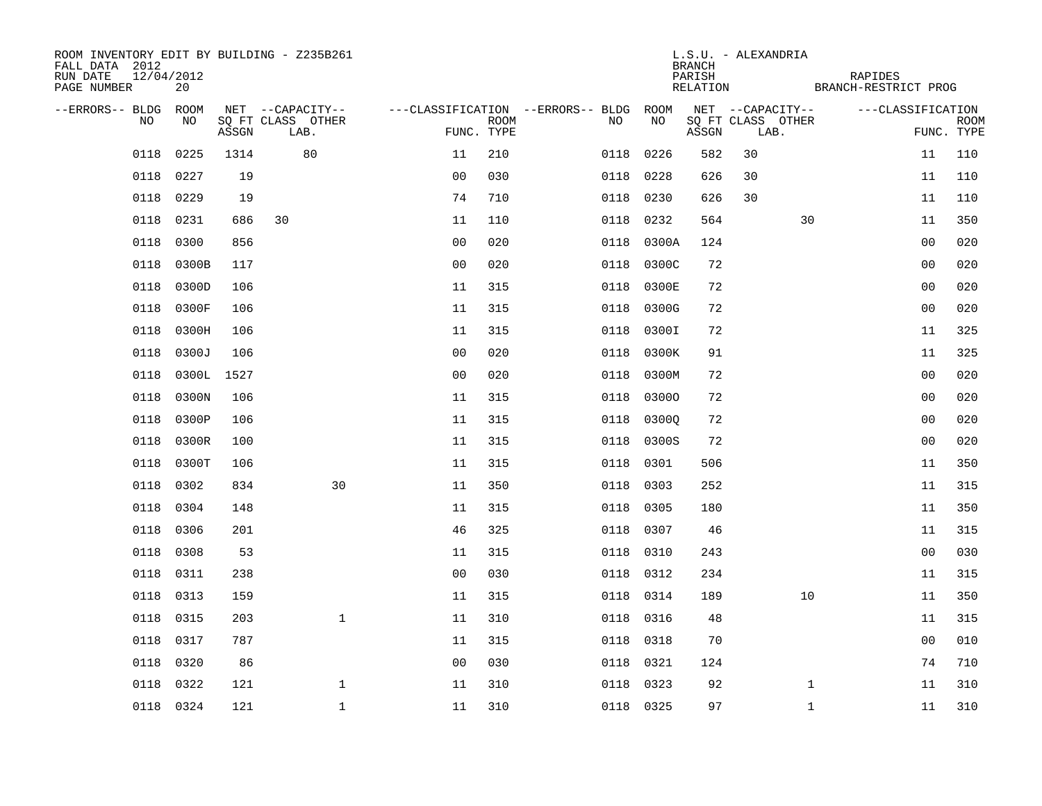| ROOM INVENTORY EDIT BY BUILDING - Z235B261<br>FALL DATA 2012<br>RUN DATE<br>12/04/2012<br>PAGE NUMBER | 20        |       |                           |                |             |                                        |            | <b>BRANCH</b><br>PARISH<br>RELATION | L.S.U. - ALEXANDRIA |                           | RAPIDES<br>BRANCH-RESTRICT PROG |                |                           |
|-------------------------------------------------------------------------------------------------------|-----------|-------|---------------------------|----------------|-------------|----------------------------------------|------------|-------------------------------------|---------------------|---------------------------|---------------------------------|----------------|---------------------------|
| --ERRORS-- BLDG ROOM                                                                                  |           |       | NET --CAPACITY--          |                |             | ---CLASSIFICATION --ERRORS-- BLDG ROOM |            |                                     |                     | NET --CAPACITY--          | ---CLASSIFICATION               |                |                           |
| NO                                                                                                    | NO        | ASSGN | SQ FT CLASS OTHER<br>LAB. | FUNC. TYPE     | <b>ROOM</b> | NO                                     | NO         | ASSGN                               |                     | SQ FT CLASS OTHER<br>LAB. |                                 |                | <b>ROOM</b><br>FUNC. TYPE |
| 0118                                                                                                  | 0225      | 1314  | 80                        | 11             | 210         | 0118                                   | 0226       | 582                                 | 30                  |                           |                                 | 11             | 110                       |
| 0118                                                                                                  | 0227      | 19    |                           | 0 <sup>0</sup> | 030         |                                        | 0118 0228  | 626                                 | 30                  |                           |                                 | 11             | 110                       |
| 0118                                                                                                  | 0229      | 19    |                           | 74             | 710         | 0118                                   | 0230       | 626                                 | 30                  |                           |                                 | 11             | 110                       |
| 0118                                                                                                  | 0231      | 686   | 30                        | 11             | 110         | 0118                                   | 0232       | 564                                 |                     | 30                        |                                 | 11             | 350                       |
| 0118                                                                                                  | 0300      | 856   |                           | 0 <sub>0</sub> | 020         | 0118                                   | 0300A      | 124                                 |                     |                           |                                 | 0 <sub>0</sub> | 020                       |
| 0118                                                                                                  | 0300B     | 117   |                           | 0 <sub>0</sub> | 020         |                                        | 0118 0300C | 72                                  |                     |                           |                                 | 00             | 020                       |
| 0118                                                                                                  | 0300D     | 106   |                           | 11             | 315         |                                        | 0118 0300E | 72                                  |                     |                           |                                 | 00             | 020                       |
| 0118                                                                                                  | 0300F     | 106   |                           | 11             | 315         |                                        | 0118 0300G | 72                                  |                     |                           |                                 | 0 <sub>0</sub> | 020                       |
| 0118                                                                                                  | 0300H     | 106   |                           | 11             | 315         | 0118                                   | 0300I      | 72                                  |                     |                           |                                 | 11             | 325                       |
| 0118                                                                                                  | 0300J     | 106   |                           | 0 <sub>0</sub> | 020         |                                        | 0118 0300K | 91                                  |                     |                           |                                 | 11             | 325                       |
| 0118                                                                                                  | 0300L     | 1527  |                           | 0 <sub>0</sub> | 020         |                                        | 0118 0300M | 72                                  |                     |                           |                                 | 0 <sub>0</sub> | 020                       |
| 0118                                                                                                  | 0300N     | 106   |                           | 11             | 315         |                                        | 0118 03000 | 72                                  |                     |                           |                                 | 0 <sub>0</sub> | 020                       |
| 0118                                                                                                  | 0300P     | 106   |                           | 11             | 315         | 0118                                   | 03000      | 72                                  |                     |                           |                                 | 0 <sub>0</sub> | 020                       |
| 0118                                                                                                  | 0300R     | 100   |                           | 11             | 315         |                                        | 0118 0300S | 72                                  |                     |                           |                                 | 0 <sub>0</sub> | 020                       |
| 0118                                                                                                  | 0300T     | 106   |                           | 11             | 315         | 0118                                   | 0301       | 506                                 |                     |                           |                                 | 11             | 350                       |
| 0118                                                                                                  | 0302      | 834   | 30                        | 11             | 350         |                                        | 0118 0303  | 252                                 |                     |                           |                                 | 11             | 315                       |
| 0118                                                                                                  | 0304      | 148   |                           | 11             | 315         | 0118                                   | 0305       | 180                                 |                     |                           |                                 | 11             | 350                       |
| 0118                                                                                                  | 0306      | 201   |                           | 46             | 325         |                                        | 0118 0307  | 46                                  |                     |                           |                                 | 11             | 315                       |
| 0118                                                                                                  | 0308      | 53    |                           | 11             | 315         |                                        | 0118 0310  | 243                                 |                     |                           |                                 | 0 <sub>0</sub> | 030                       |
| 0118                                                                                                  | 0311      | 238   |                           | 0 <sub>0</sub> | 030         |                                        | 0118 0312  | 234                                 |                     |                           |                                 | 11             | 315                       |
| 0118                                                                                                  | 0313      | 159   |                           | 11             | 315         |                                        | 0118 0314  | 189                                 |                     | 10                        |                                 | 11             | 350                       |
| 0118                                                                                                  | 0315      | 203   | $\mathbf 1$               | 11             | 310         |                                        | 0118 0316  | 48                                  |                     |                           |                                 | 11             | 315                       |
| 0118                                                                                                  | 0317      | 787   |                           | 11             | 315         |                                        | 0118 0318  | 70                                  |                     |                           |                                 | 00             | 010                       |
| 0118                                                                                                  | 0320      | 86    |                           | 0 <sub>0</sub> | 030         |                                        | 0118 0321  | 124                                 |                     |                           |                                 | 74             | 710                       |
| 0118                                                                                                  | 0322      | 121   | $\mathbf 1$               | 11             | 310         |                                        | 0118 0323  | 92                                  |                     | $\mathbf{1}$              |                                 | 11             | 310                       |
|                                                                                                       | 0118 0324 | 121   | $\mathbf{1}$              | 11             | 310         |                                        | 0118 0325  | 97                                  |                     | $\mathbf{1}$              |                                 | 11             | 310                       |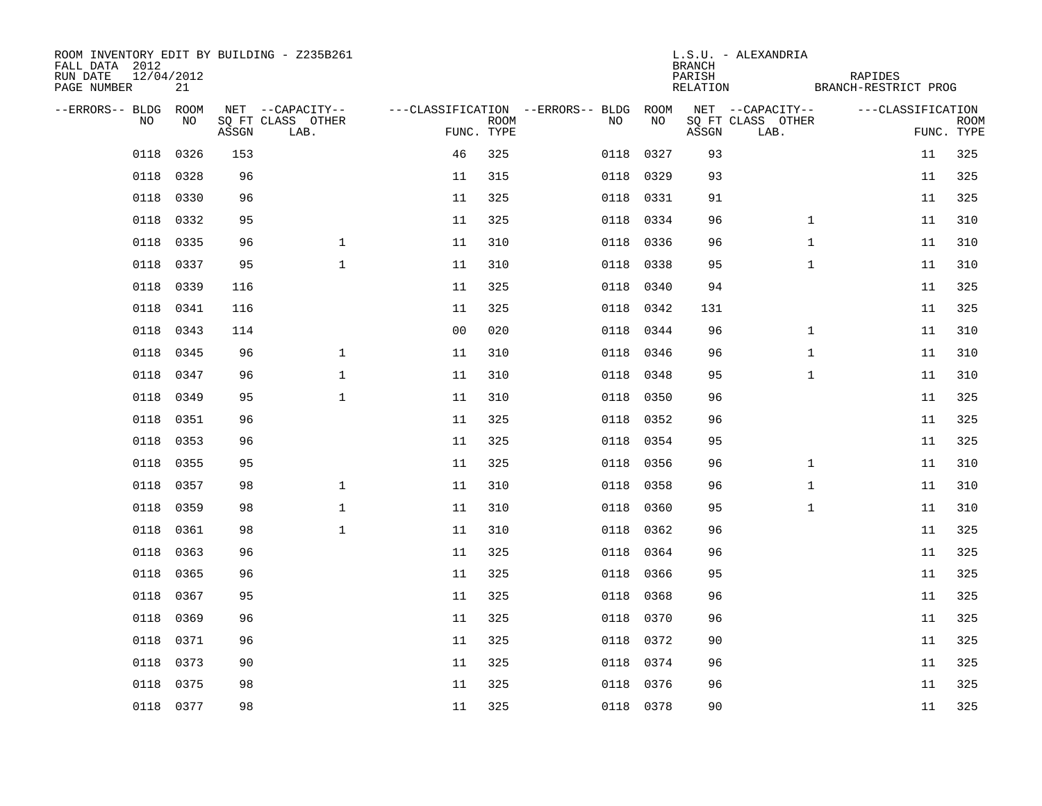| ROOM INVENTORY EDIT BY BUILDING - Z235B261<br>FALL DATA 2012<br>12/04/2012<br>RUN DATE<br>PAGE NUMBER | 21        |       |                           |                |      |                                        |           | <b>BRANCH</b><br>PARISH<br>RELATION | L.S.U. - ALEXANDRIA       | RAPIDES<br>BRANCH-RESTRICT PROG |            |             |
|-------------------------------------------------------------------------------------------------------|-----------|-------|---------------------------|----------------|------|----------------------------------------|-----------|-------------------------------------|---------------------------|---------------------------------|------------|-------------|
| --ERRORS-- BLDG ROOM                                                                                  |           |       | NET --CAPACITY--          |                |      | ---CLASSIFICATION --ERRORS-- BLDG ROOM |           |                                     | NET --CAPACITY--          | ---CLASSIFICATION               |            |             |
| NO.                                                                                                   | NO.       | ASSGN | SQ FT CLASS OTHER<br>LAB. | FUNC. TYPE     | ROOM | NO.                                    | NO        | ASSGN                               | SQ FT CLASS OTHER<br>LAB. |                                 | FUNC. TYPE | <b>ROOM</b> |
| 0118                                                                                                  | 0326      | 153   |                           | 46             | 325  | 0118                                   | 0327      | 93                                  |                           |                                 | 11         | 325         |
| 0118                                                                                                  | 0328      | 96    |                           | 11             | 315  |                                        | 0118 0329 | 93                                  |                           |                                 | 11         | 325         |
| 0118                                                                                                  | 0330      | 96    |                           | 11             | 325  |                                        | 0118 0331 | 91                                  |                           |                                 | 11         | 325         |
| 0118                                                                                                  | 0332      | 95    |                           | 11             | 325  |                                        | 0118 0334 | 96                                  | $\mathbf{1}$              |                                 | 11         | 310         |
| 0118                                                                                                  | 0335      | 96    | $\mathbf 1$               | 11             | 310  |                                        | 0118 0336 | 96                                  | $\mathbf{1}$              |                                 | 11         | 310         |
| 0118                                                                                                  | 0337      | 95    | $\mathbf{1}$              | 11             | 310  |                                        | 0118 0338 | 95                                  | $\mathbf{1}$              |                                 | 11         | 310         |
| 0118                                                                                                  | 0339      | 116   |                           | 11             | 325  |                                        | 0118 0340 | 94                                  |                           |                                 | 11         | 325         |
| 0118                                                                                                  | 0341      | 116   |                           | 11             | 325  |                                        | 0118 0342 | 131                                 |                           |                                 | 11         | 325         |
| 0118                                                                                                  | 0343      | 114   |                           | 0 <sub>0</sub> | 020  | 0118                                   | 0344      | 96                                  | $\mathbf{1}$              |                                 | 11         | 310         |
| 0118                                                                                                  | 0345      | 96    | $\mathbf{1}$              | 11             | 310  |                                        | 0118 0346 | 96                                  | $\mathbf{1}$              |                                 | 11         | 310         |
| 0118                                                                                                  | 0347      | 96    | $\mathbf{1}$              | 11             | 310  |                                        | 0118 0348 | 95                                  | $\mathbf{1}$              |                                 | 11         | 310         |
| 0118                                                                                                  | 0349      | 95    | $\mathbf{1}$              | 11             | 310  |                                        | 0118 0350 | 96                                  |                           |                                 | 11         | 325         |
| 0118                                                                                                  | 0351      | 96    |                           | 11             | 325  | 0118                                   | 0352      | 96                                  |                           |                                 | 11         | 325         |
| 0118                                                                                                  | 0353      | 96    |                           | 11             | 325  |                                        | 0118 0354 | 95                                  |                           |                                 | 11         | 325         |
| 0118                                                                                                  | 0355      | 95    |                           | 11             | 325  | 0118                                   | 0356      | 96                                  | $\mathbf{1}$              |                                 | 11         | 310         |
| 0118                                                                                                  | 0357      | 98    | $\mathbf{1}$              | 11             | 310  |                                        | 0118 0358 | 96                                  | $\mathbf{1}$              |                                 | 11         | 310         |
| 0118                                                                                                  | 0359      | 98    | $\mathbf 1$               | 11             | 310  | 0118                                   | 0360      | 95                                  | $\mathbf{1}$              |                                 | 11         | 310         |
| 0118                                                                                                  | 0361      | 98    | $\mathbf{1}$              | 11             | 310  |                                        | 0118 0362 | 96                                  |                           |                                 | 11         | 325         |
| 0118                                                                                                  | 0363      | 96    |                           | 11             | 325  |                                        | 0118 0364 | 96                                  |                           |                                 | 11         | 325         |
| 0118                                                                                                  | 0365      | 96    |                           | 11             | 325  |                                        | 0118 0366 | 95                                  |                           |                                 | 11         | 325         |
| 0118                                                                                                  | 0367      | 95    |                           | 11             | 325  |                                        | 0118 0368 | 96                                  |                           |                                 | 11         | 325         |
| 0118                                                                                                  | 0369      | 96    |                           | 11             | 325  |                                        | 0118 0370 | 96                                  |                           |                                 | 11         | 325         |
| 0118                                                                                                  | 0371      | 96    |                           | 11             | 325  |                                        | 0118 0372 | 90                                  |                           |                                 | 11         | 325         |
| 0118                                                                                                  | 0373      | 90    |                           | 11             | 325  |                                        | 0118 0374 | 96                                  |                           |                                 | 11         | 325         |
| 0118                                                                                                  | 0375      | 98    |                           | 11             | 325  |                                        | 0118 0376 | 96                                  |                           |                                 | 11         | 325         |
|                                                                                                       | 0118 0377 | 98    |                           | 11             | 325  |                                        | 0118 0378 | 90                                  |                           |                                 | 11         | 325         |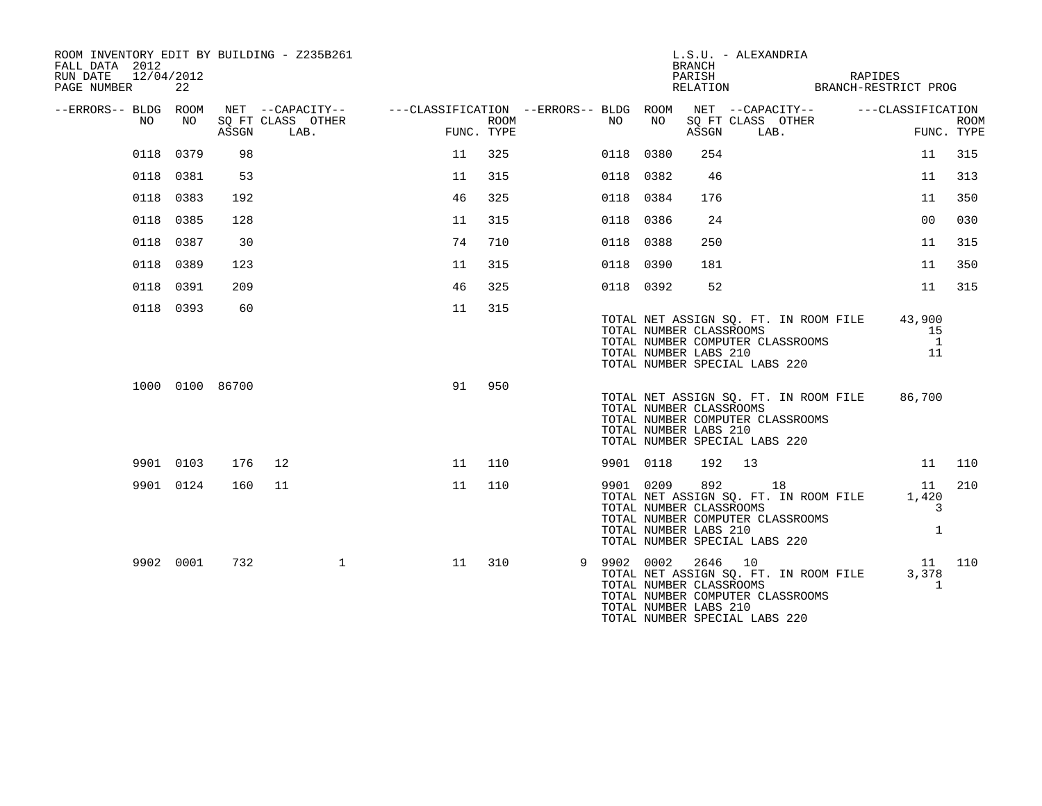| ROOM INVENTORY EDIT BY BUILDING - Z235B261<br>FALL DATA 2012<br>RUN DATE<br>12/04/2012<br>PAGE NUMBER | 22        |                 |                                                                                      |    |                    |           |             | <b>BRANCH</b><br>PARISH                                     | L.S.U. - ALEXANDRIA<br>RELATION BRANCH-RESTRICT PROG                                                             | RAPIDES |                                      |             |
|-------------------------------------------------------------------------------------------------------|-----------|-----------------|--------------------------------------------------------------------------------------|----|--------------------|-----------|-------------|-------------------------------------------------------------|------------------------------------------------------------------------------------------------------------------|---------|--------------------------------------|-------------|
| --ERRORS-- BLDG ROOM<br>NO.                                                                           | NO.       | ASSGN           | NET --CAPACITY-- ---CLASSIFICATION --ERRORS-- BLDG ROOM<br>SQ FT CLASS OTHER<br>LAB. |    | ROOM<br>FUNC. TYPE | NO        | NO          | ASSGN                                                       | NET --CAPACITY-- ---CLASSIFICATION<br>SQ FT CLASS OTHER<br>LAB.                                                  |         | FUNC. TYPE                           | <b>ROOM</b> |
| 0118                                                                                                  | 0379      | 98              |                                                                                      | 11 | 325                | 0118 0380 |             | 254                                                         |                                                                                                                  |         | 11                                   | 315         |
|                                                                                                       | 0118 0381 | 53              |                                                                                      | 11 | 315                | 0118 0382 |             | 46                                                          |                                                                                                                  |         | 11                                   | 313         |
| 0118                                                                                                  | 0383      | 192             |                                                                                      | 46 | 325                | 0118      | 0384        | 176                                                         |                                                                                                                  |         | 11                                   | 350         |
|                                                                                                       | 0118 0385 | 128             |                                                                                      | 11 | 315                | 0118 0386 |             | 24                                                          |                                                                                                                  |         | 0 <sub>0</sub>                       | 030         |
|                                                                                                       |           |                 |                                                                                      |    | 710                |           |             |                                                             |                                                                                                                  |         |                                      |             |
|                                                                                                       | 0118 0387 | 30              |                                                                                      | 74 |                    | 0118 0388 |             | 250                                                         |                                                                                                                  |         | 11                                   | 315         |
| 0118                                                                                                  | 0389      | 123             |                                                                                      | 11 | 315                | 0118      | 0390        | 181                                                         |                                                                                                                  |         | 11                                   | 350         |
|                                                                                                       | 0118 0391 | 209             |                                                                                      | 46 | 325                | 0118 0392 |             | 52                                                          |                                                                                                                  |         | 11                                   | 315         |
|                                                                                                       | 0118 0393 | 60              |                                                                                      | 11 | 315                |           |             | TOTAL NUMBER CLASSROOMS<br>TOTAL NUMBER LABS 210            | TOTAL NET ASSIGN SQ. FT. IN ROOM FILE<br>TOTAL NUMBER COMPUTER CLASSROOMS<br>TOTAL NUMBER SPECIAL LABS 220       |         | 43,900<br>15<br>$\overline{1}$<br>11 |             |
|                                                                                                       |           | 1000 0100 86700 |                                                                                      | 91 | 950                |           |             | TOTAL NUMBER CLASSROOMS<br>TOTAL NUMBER LABS 210            | TOTAL NET ASSIGN SQ. FT. IN ROOM FILE<br>TOTAL NUMBER COMPUTER CLASSROOMS<br>TOTAL NUMBER SPECIAL LABS 220       |         | 86,700                               |             |
|                                                                                                       | 9901 0103 | 176             | 12                                                                                   | 11 | 110                | 9901 0118 |             | 192                                                         | 13                                                                                                               |         | 11                                   | 110         |
|                                                                                                       | 9901 0124 | 160             | 11                                                                                   | 11 | 110                | 9901 0209 |             | 892<br>TOTAL NUMBER CLASSROOMS<br>TOTAL NUMBER LABS 210     | 18<br>TOTAL NET ASSIGN SQ. FT. IN ROOM FILE<br>TOTAL NUMBER COMPUTER CLASSROOMS<br>TOTAL NUMBER SPECIAL LABS 220 |         | 11<br>1,420<br>3<br>$\mathbf{1}$     | 210         |
|                                                                                                       | 9902 0001 | 732             | $\mathbf{1}$                                                                         | 11 | 310                |           | 9 9902 0002 | 2646 10<br>TOTAL NUMBER CLASSROOMS<br>TOTAL NUMBER LABS 210 | TOTAL NET ASSIGN SQ. FT. IN ROOM FILE<br>TOTAL NUMBER COMPUTER CLASSROOMS<br>TOTAL NUMBER SPECIAL LABS 220       |         | 11 110<br>3,378<br>$\mathbf{1}$      |             |